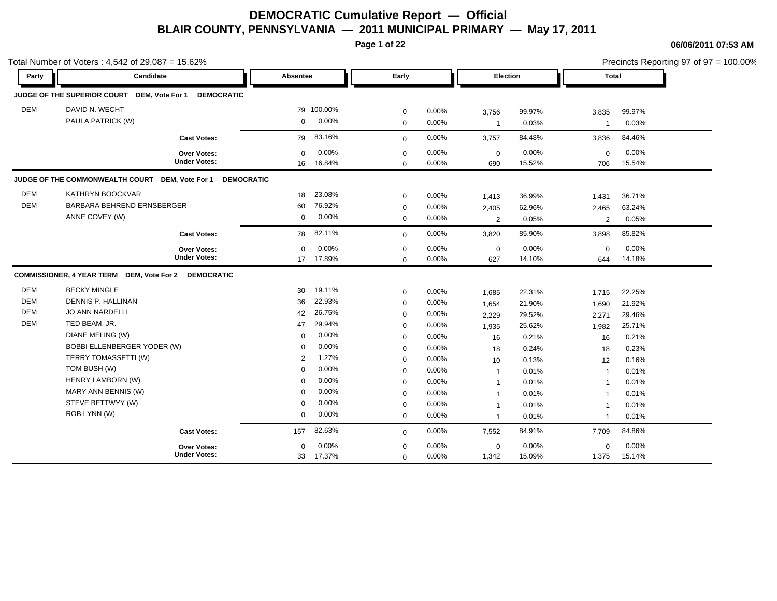**Page 1 of 22**

**06/06/2011 07:53 AM**

|                                                      | Total Number of Voters: 4,542 of 29,087 = 15.62%                                                                                                                       |                                           |                                                                         |                                                                 |                                                                                                       |                                                                |                                                                                |                                                                 |                                                          |                                                                 | Precincts Reporting 97 of 97 = 100.00% |
|------------------------------------------------------|------------------------------------------------------------------------------------------------------------------------------------------------------------------------|-------------------------------------------|-------------------------------------------------------------------------|-----------------------------------------------------------------|-------------------------------------------------------------------------------------------------------|----------------------------------------------------------------|--------------------------------------------------------------------------------|-----------------------------------------------------------------|----------------------------------------------------------|-----------------------------------------------------------------|----------------------------------------|
| Party                                                | Candidate                                                                                                                                                              |                                           | <b>Absentee</b>                                                         |                                                                 | Early                                                                                                 |                                                                | Election                                                                       |                                                                 | Total                                                    |                                                                 |                                        |
|                                                      | JUDGE OF THE SUPERIOR COURT DEM, Vote For 1                                                                                                                            | <b>DEMOCRATIC</b>                         |                                                                         |                                                                 |                                                                                                       |                                                                |                                                                                |                                                                 |                                                          |                                                                 |                                        |
| <b>DEM</b>                                           | DAVID N. WECHT<br>PAULA PATRICK (W)                                                                                                                                    |                                           | $\mathbf 0$                                                             | 79 100.00%<br>0.00%                                             | $\mathbf 0$<br>$\mathbf 0$                                                                            | 0.00%<br>0.00%                                                 | 3,756<br>$\mathbf{1}$                                                          | 99.97%<br>0.03%                                                 | 3,835<br>$\overline{1}$                                  | 99.97%<br>0.03%                                                 |                                        |
|                                                      |                                                                                                                                                                        | <b>Cast Votes:</b>                        | 79                                                                      | 83.16%                                                          | $\mathbf{0}$                                                                                          | 0.00%                                                          | 3,757                                                                          | 84.48%                                                          | 3,836                                                    | 84.46%                                                          |                                        |
|                                                      |                                                                                                                                                                        | <b>Over Votes:</b><br><b>Under Votes:</b> | $\Omega$<br>16                                                          | 0.00%<br>16.84%                                                 | $\mathbf 0$<br>$\Omega$                                                                               | 0.00%<br>0.00%                                                 | $\mathbf 0$<br>690                                                             | 0.00%<br>15.52%                                                 | $\mathbf 0$<br>706                                       | 0.00%<br>15.54%                                                 |                                        |
|                                                      | JUDGE OF THE COMMONWEALTH COURT DEM, Vote For 1                                                                                                                        | <b>DEMOCRATIC</b>                         |                                                                         |                                                                 |                                                                                                       |                                                                |                                                                                |                                                                 |                                                          |                                                                 |                                        |
| <b>DEM</b><br><b>DEM</b>                             | KATHRYN BOOCKVAR<br>BARBARA BEHREND ERNSBERGER<br>ANNE COVEY (W)                                                                                                       |                                           | 18<br>60<br>$\mathbf 0$                                                 | 23.08%<br>76.92%<br>0.00%                                       | $\mathbf 0$<br>$\mathbf 0$<br>$\mathbf 0$                                                             | 0.00%<br>0.00%<br>0.00%                                        | 1,413<br>2,405<br>$\overline{2}$                                               | 36.99%<br>62.96%<br>0.05%                                       | 1,431<br>2,465<br>2                                      | 36.71%<br>63.24%<br>0.05%                                       |                                        |
|                                                      |                                                                                                                                                                        | <b>Cast Votes:</b>                        | 78                                                                      | 82.11%                                                          | $\mathbf 0$                                                                                           | 0.00%                                                          | 3,820                                                                          | 85.90%                                                          | 3,898                                                    | 85.82%                                                          |                                        |
|                                                      |                                                                                                                                                                        | Over Votes:<br><b>Under Votes:</b>        | $\Omega$                                                                | 0.00%<br>17 17.89%                                              | $\mathbf 0$<br>$\Omega$                                                                               | 0.00%<br>0.00%                                                 | $\mathbf 0$<br>627                                                             | 0.00%<br>14.10%                                                 | $\mathbf 0$<br>644                                       | 0.00%<br>14.18%                                                 |                                        |
|                                                      | COMMISSIONER, 4 YEAR TERM DEM, Vote For 2 DEMOCRATIC                                                                                                                   |                                           |                                                                         |                                                                 |                                                                                                       |                                                                |                                                                                |                                                                 |                                                          |                                                                 |                                        |
| <b>DEM</b><br><b>DEM</b><br><b>DEM</b><br><b>DEM</b> | <b>BECKY MINGLE</b><br>DENNIS P. HALLINAN<br><b>JO ANN NARDELLI</b><br>TED BEAM, JR.<br>DIANE MELING (W)<br><b>BOBBI ELLENBERGER YODER (W)</b><br>TERRY TOMASSETTI (W) |                                           | 30<br>36<br>42<br>47<br>$\mathbf 0$<br>$\Omega$<br>2                    | 19.11%<br>22.93%<br>26.75%<br>29.94%<br>0.00%<br>0.00%<br>1.27% | $\mathbf 0$<br>$\mathbf 0$<br>$\mathbf 0$<br>$\mathbf 0$<br>$\mathbf 0$<br>$\mathbf 0$<br>$\mathbf 0$ | $0.00\%$<br>0.00%<br>0.00%<br>0.00%<br>0.00%<br>0.00%<br>0.00% | 1,685<br>1,654<br>2,229<br>1,935<br>16<br>18<br>10                             | 22.31%<br>21.90%<br>29.52%<br>25.62%<br>0.21%<br>0.24%<br>0.13% | 1,715<br>1,690<br>2,271<br>1,982<br>16<br>18<br>12       | 22.25%<br>21.92%<br>29.46%<br>25.71%<br>0.21%<br>0.23%<br>0.16% |                                        |
|                                                      | TOM BUSH (W)<br>HENRY LAMBORN (W)<br>MARY ANN BENNIS (W)<br>STEVE BETTWYY (W)<br>ROB LYNN (W)                                                                          |                                           | $\mathbf 0$<br>$\mathbf 0$<br>$\mathbf 0$<br>$\mathbf 0$<br>$\mathbf 0$ | 0.00%<br>0.00%<br>0.00%<br>0.00%<br>0.00%                       | $\mathbf 0$<br>$\mathbf 0$<br>$\mathbf 0$<br>$\mathbf 0$<br>$\mathbf 0$                               | 0.00%<br>0.00%<br>0.00%<br>0.00%<br>0.00%                      | $\mathbf{1}$<br>$\mathbf{1}$<br>$\mathbf{1}$<br>$\mathbf{1}$<br>$\overline{1}$ | 0.01%<br>0.01%<br>0.01%<br>0.01%<br>0.01%                       | $\overline{1}$<br>-1<br>$\overline{1}$<br>$\overline{1}$ | 0.01%<br>0.01%<br>0.01%<br>0.01%<br>0.01%                       |                                        |
|                                                      |                                                                                                                                                                        | <b>Cast Votes:</b>                        | 157                                                                     | 82.63%                                                          | $\mathbf 0$                                                                                           | 0.00%                                                          | 7,552                                                                          | 84.91%                                                          | 7,709                                                    | 84.86%                                                          |                                        |
|                                                      |                                                                                                                                                                        | <b>Over Votes:</b><br><b>Under Votes:</b> | $\Omega$<br>33                                                          | 0.00%<br>17.37%                                                 | $\mathbf 0$<br>$\mathbf 0$                                                                            | 0.00%<br>0.00%                                                 | $\mathbf 0$<br>1,342                                                           | 0.00%<br>15.09%                                                 | $\mathbf 0$<br>1,375                                     | 0.00%<br>15.14%                                                 |                                        |

Precincts Reporting 97 of 97 = 100.00%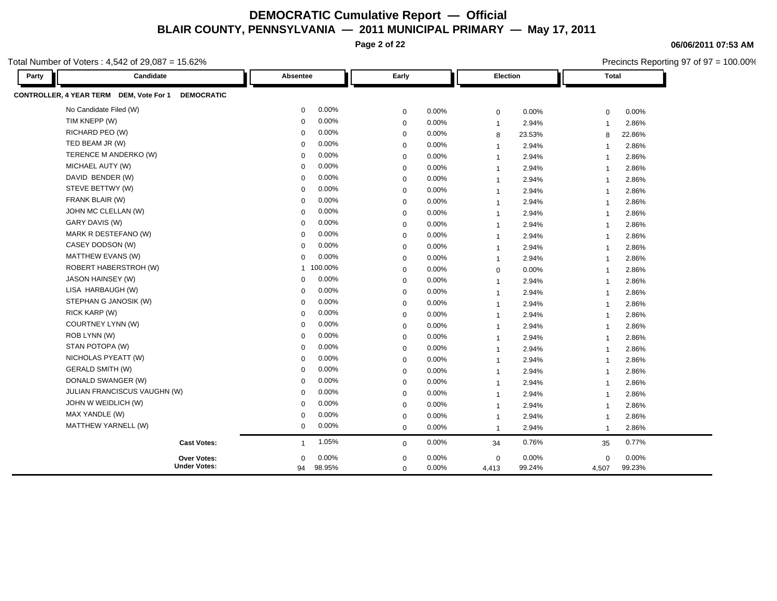**Page 2 of 22**

Total Number of Voters : 4,542 of 29,087 = 15.62%

| Candidate<br>Party                                           | Absentee                | Early       | Election                | <b>Total</b>            |
|--------------------------------------------------------------|-------------------------|-------------|-------------------------|-------------------------|
| CONTROLLER, 4 YEAR TERM DEM, Vote For 1<br><b>DEMOCRATIC</b> |                         |             |                         |                         |
| No Candidate Filed (W)                                       | 0.00%                   | 0.00%       | 0.00%                   | 0.00%                   |
|                                                              | $\mathbf 0$             | $\mathbf 0$ | 0                       | 0                       |
| TIM KNEPP (W)                                                | 0.00%                   | 0.00%       | 2.94%                   | 2.86%                   |
|                                                              | $\mathbf 0$             | $\mathbf 0$ | $\overline{1}$          | $\overline{1}$          |
| RICHARD PEO (W)                                              | 0.00%                   | $\mathbf 0$ | 23.53%                  | 22.86%                  |
|                                                              | $\Omega$                | 0.00%       | 8                       | 8                       |
| TED BEAM JR (W)                                              | 0.00%                   | 0.00%       | 2.94%                   | 2.86%                   |
|                                                              | $\Omega$                | $\mathbf 0$ | $\overline{1}$          | $\overline{1}$          |
| TERENCE M ANDERKO (W)                                        | 0.00%                   | 0.00%       | 2.94%                   | 2.86%                   |
|                                                              | $\Omega$                | $\mathbf 0$ | $\overline{1}$          | $\overline{1}$          |
| MICHAEL AUTY (W)                                             | 0.00%                   | $\mathbf 0$ | 2.94%                   | 2.86%                   |
|                                                              | $\Omega$                | 0.00%       | $\overline{1}$          | $\overline{1}$          |
| DAVID BENDER (W)                                             | 0.00%                   | 0.00%       | 2.94%                   | 2.86%                   |
|                                                              | $\Omega$                | $\mathbf 0$ | $\overline{\mathbf{1}}$ | $\overline{1}$          |
| STEVE BETTWY (W)                                             | 0.00%                   | 0.00%       | 2.94%                   | 2.86%                   |
|                                                              | $\Omega$                | $\mathbf 0$ | $\overline{1}$          | $\overline{1}$          |
| FRANK BLAIR (W)                                              | 0.00%                   | 0.00%       | 2.94%                   | 2.86%                   |
|                                                              | $\Omega$                | $\mathbf 0$ | $\overline{1}$          | $\overline{1}$          |
| JOHN MC CLELLAN (W)                                          | 0.00%                   | 0.00%       | 2.94%                   | 2.86%                   |
|                                                              | $\Omega$                | $\mathbf 0$ | $\overline{1}$          | $\overline{1}$          |
| GARY DAVIS (W)                                               | 0.00%                   | 0.00%       | 2.94%                   | 2.86%                   |
|                                                              | $\Omega$                | $\mathbf 0$ | $\overline{1}$          | $\overline{1}$          |
| MARK R DESTEFANO (W)                                         | 0.00%                   | 0.00%       | 2.94%                   | 2.86%                   |
|                                                              | $\Omega$                | $\mathbf 0$ | $\overline{1}$          | $\overline{1}$          |
| CASEY DODSON (W)                                             | 0.00%                   | 0.00%       | 2.94%                   | 2.86%                   |
|                                                              | $\Omega$                | $\mathbf 0$ | $\overline{1}$          | -1                      |
| MATTHEW EVANS (W)                                            | 0.00%                   | $0.00\%$    | 2.94%                   | 2.86%                   |
|                                                              | $\Omega$                | $\mathbf 0$ | $\overline{1}$          | $\overline{1}$          |
| ROBERT HABERSTROH (W)                                        | 100.00%                 | $\mathbf 0$ | 0.00%                   | 2.86%                   |
|                                                              | $\overline{1}$          | 0.00%       | 0                       | $\overline{1}$          |
| JASON HAINSEY (W)                                            | 0.00%                   | 0.00%       | 2.94%                   | 2.86%                   |
|                                                              | $\Omega$                | $\mathbf 0$ | $\overline{\mathbf{1}}$ | $\overline{1}$          |
| LISA HARBAUGH (W)                                            | 0.00%                   | 0.00%       | 2.94%                   | 2.86%                   |
|                                                              | $\Omega$                | $\mathbf 0$ | $\overline{1}$          | $\overline{1}$          |
| STEPHAN G JANOSIK (W)                                        | 0.00%                   | 0.00%       | 2.94%                   | 2.86%                   |
|                                                              | $\Omega$                | $\mathbf 0$ | $\overline{1}$          | $\overline{1}$          |
| RICK KARP (W)                                                | 0.00%                   | 0.00%       | 2.94%                   | 2.86%                   |
|                                                              | $\Omega$                | $\mathbf 0$ | $\overline{1}$          | $\overline{1}$          |
| COURTNEY LYNN (W)                                            | 0.00%                   | 0.00%       | 2.94%                   | 2.86%                   |
|                                                              | $\Omega$                | $\mathbf 0$ | $\overline{1}$          | $\overline{\mathbf{1}}$ |
| ROB LYNN (W)                                                 | 0.00%                   | 0.00%       | 2.94%                   | 2.86%                   |
|                                                              | $\Omega$                | $\mathbf 0$ | $\overline{\mathbf{1}}$ | $\overline{1}$          |
| STAN POTOPA (W)                                              | 0.00%                   | 0.00%       | 2.94%                   | 2.86%                   |
|                                                              | $\Omega$                | $\mathbf 0$ | $\overline{\mathbf{1}}$ | $\overline{1}$          |
| NICHOLAS PYEATT (W)                                          | 0.00%                   | 0.00%       | 2.94%                   | 2.86%                   |
|                                                              | $\Omega$                | $\mathbf 0$ | $\overline{1}$          | $\overline{1}$          |
| <b>GERALD SMITH (W)</b>                                      | 0.00%                   | 0.00%       | 2.94%                   | 2.86%                   |
|                                                              | $\Omega$                | $\mathbf 0$ | $\overline{1}$          | $\overline{1}$          |
| DONALD SWANGER (W)                                           | 0.00%                   | 0.00%       | 2.94%                   | 2.86%                   |
|                                                              | $\Omega$                | $\mathbf 0$ | $\overline{1}$          | $\overline{1}$          |
| JULIAN FRANCISCUS VAUGHN (W)                                 | 0.00%                   | 0.00%       | 2.94%                   | 2.86%                   |
|                                                              | $\Omega$                | $\mathbf 0$ | $\overline{1}$          | $\overline{1}$          |
| JOHN W WEIDLICH (W)                                          | 0.00%                   | $\mathbf 0$ | 2.94%                   | 2.86%                   |
|                                                              | $\Omega$                | 0.00%       | $\overline{1}$          | $\overline{1}$          |
| MAX YANDLE (W)                                               | 0.00%                   | 0.00%       | 2.94%                   | 2.86%                   |
|                                                              | $\Omega$                | $\mathbf 0$ | $\overline{1}$          | $\overline{1}$          |
| MATTHEW YARNELL (W)                                          | 0.00%                   | 0.00%       | 2.94%                   | 2.86%                   |
|                                                              | $\mathbf 0$             | $\mathbf 0$ | $\overline{1}$          | $\overline{\mathbf{1}}$ |
| <b>Cast Votes:</b>                                           | 1.05%                   | 0.00%       | 0.76%                   | 0.77%                   |
|                                                              | $\overline{\mathbf{1}}$ | $\mathbf 0$ | 34                      | 35                      |
| Over Votes:                                                  | 0.00%                   | 0.00%       | 0.00%                   | 0.00%                   |
|                                                              | $\Omega$                | $\mathbf 0$ | 0                       | $\mathbf 0$             |
| <b>Under Votes:</b>                                          | 98.95%                  | 0.00%       | 99.24%                  | 99.23%                  |
|                                                              | 94                      | $\mathbf 0$ | 4,413                   | 4,507                   |

**06/06/2011 07:53 AM**

Precincts Reporting 97 of 97 = 100.00%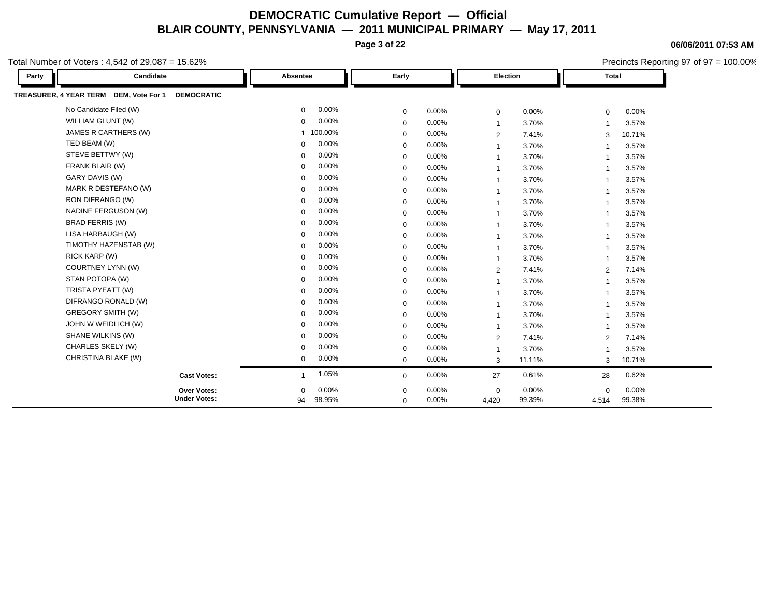**Page 3 of 22**

**06/06/2011 07:53 AM**

Precincts Reporting 97 of 97 = 100.00%

| Party | Candidate                                                   | Absentee              | Early        |       | Election       |        | <b>Total</b>            |        |
|-------|-------------------------------------------------------------|-----------------------|--------------|-------|----------------|--------|-------------------------|--------|
|       | TREASURER, 4 YEAR TERM DEM, Vote For 1<br><b>DEMOCRATIC</b> |                       |              |       |                |        |                         |        |
|       | No Candidate Filed (W)                                      | 0.00%<br>$\mathbf 0$  | $\mathbf 0$  | 0.00% | $\mathbf 0$    | 0.00%  | $\mathbf 0$             | 0.00%  |
|       | WILLIAM GLUNT (W)                                           | 0.00%<br>$\mathbf 0$  | $\mathbf 0$  | 0.00% | $\overline{1}$ | 3.70%  | $\overline{1}$          | 3.57%  |
|       | JAMES R CARTHERS (W)                                        | 100.00%<br>1          | $\mathbf 0$  | 0.00% | $\overline{2}$ | 7.41%  | 3                       | 10.71% |
|       | TED BEAM (W)                                                | 0.00%<br>$\Omega$     | $\mathbf 0$  | 0.00% | $\overline{1}$ | 3.70%  | -1                      | 3.57%  |
|       | STEVE BETTWY (W)                                            | 0.00%<br>$\Omega$     | $\mathbf 0$  | 0.00% | -1             | 3.70%  | -1                      | 3.57%  |
|       | FRANK BLAIR (W)                                             | 0.00%<br>0            | 0            | 0.00% | -1             | 3.70%  |                         | 3.57%  |
|       | GARY DAVIS (W)                                              | 0.00%<br>$\Omega$     | $\mathbf 0$  | 0.00% | $\mathbf{1}$   | 3.70%  | $\overline{1}$          | 3.57%  |
|       | MARK R DESTEFANO (W)                                        | 0.00%<br>$\Omega$     | $\Omega$     | 0.00% | 1              | 3.70%  | $\overline{\mathbf{1}}$ | 3.57%  |
|       | RON DIFRANGO (W)                                            | 0.00%<br>$\Omega$     | $\mathbf 0$  | 0.00% | 1              | 3.70%  | $\overline{\mathbf{1}}$ | 3.57%  |
|       | NADINE FERGUSON (W)                                         | 0.00%<br>$\mathbf 0$  | $\mathbf 0$  | 0.00% | $\overline{1}$ | 3.70%  | $\overline{\mathbf{1}}$ | 3.57%  |
|       | <b>BRAD FERRIS (W)</b>                                      | 0.00%<br>$\mathbf 0$  | 0            | 0.00% | 1              | 3.70%  | $\overline{1}$          | 3.57%  |
|       | LISA HARBAUGH (W)                                           | 0.00%<br>$\Omega$     | $\mathbf 0$  | 0.00% | $\overline{1}$ | 3.70%  | $\overline{\mathbf{1}}$ | 3.57%  |
|       | TIMOTHY HAZENSTAB (W)                                       | 0.00%<br>$\Omega$     | $\Omega$     | 0.00% | $\overline{1}$ | 3.70%  | $\overline{\mathbf{1}}$ | 3.57%  |
|       | RICK KARP (W)                                               | 0.00%<br>$\Omega$     | $\mathbf 0$  | 0.00% | $\overline{1}$ | 3.70%  | $\overline{\mathbf{1}}$ | 3.57%  |
|       | COURTNEY LYNN (W)                                           | 0.00%<br>$\Omega$     | $\mathbf 0$  | 0.00% | 2              | 7.41%  | 2                       | 7.14%  |
|       | STAN POTOPA (W)                                             | 0.00%<br>$\Omega$     | 0            | 0.00% | $\mathbf{1}$   | 3.70%  | $\overline{1}$          | 3.57%  |
|       | TRISTA PYEATT (W)                                           | 0.00%<br>$\Omega$     | $\mathbf 0$  | 0.00% | $\overline{1}$ | 3.70%  | $\overline{\mathbf{1}}$ | 3.57%  |
|       | DIFRANGO RONALD (W)                                         | 0.00%<br>$\Omega$     | $\mathbf 0$  | 0.00% | $\overline{1}$ | 3.70%  | $\overline{\mathbf{1}}$ | 3.57%  |
|       | <b>GREGORY SMITH (W)</b>                                    | 0.00%<br>$\mathbf 0$  | $\mathbf 0$  | 0.00% | -1             | 3.70%  | -1                      | 3.57%  |
|       | JOHN W WEIDLICH (W)                                         | 0.00%<br>$\Omega$     | $\mathbf 0$  | 0.00% | $\overline{1}$ | 3.70%  | $\overline{\mathbf{1}}$ | 3.57%  |
|       | SHANE WILKINS (W)                                           | 0.00%<br>$\Omega$     | $\mathbf 0$  | 0.00% | $\overline{2}$ | 7.41%  | 2                       | 7.14%  |
|       | CHARLES SKELY (W)                                           | 0.00%<br>$\mathbf 0$  | $\mathbf 0$  | 0.00% | $\mathbf{1}$   | 3.70%  | $\overline{1}$          | 3.57%  |
|       | CHRISTINA BLAKE (W)                                         | 0.00%<br>$\mathbf{0}$ | $\mathbf{0}$ | 0.00% | 3              | 11.11% | 3                       | 10.71% |
|       | <b>Cast Votes:</b>                                          | 1.05%<br>1            | $\mathbf{0}$ | 0.00% | 27             | 0.61%  | 28                      | 0.62%  |
|       | Over Votes:                                                 | 0.00%<br>0            | 0            | 0.00% | $\mathbf 0$    | 0.00%  | $\mathbf 0$             | 0.00%  |
|       | <b>Under Votes:</b>                                         | 98.95%<br>94          | $\mathbf{0}$ | 0.00% | 4,420          | 99.39% | 4,514                   | 99.38% |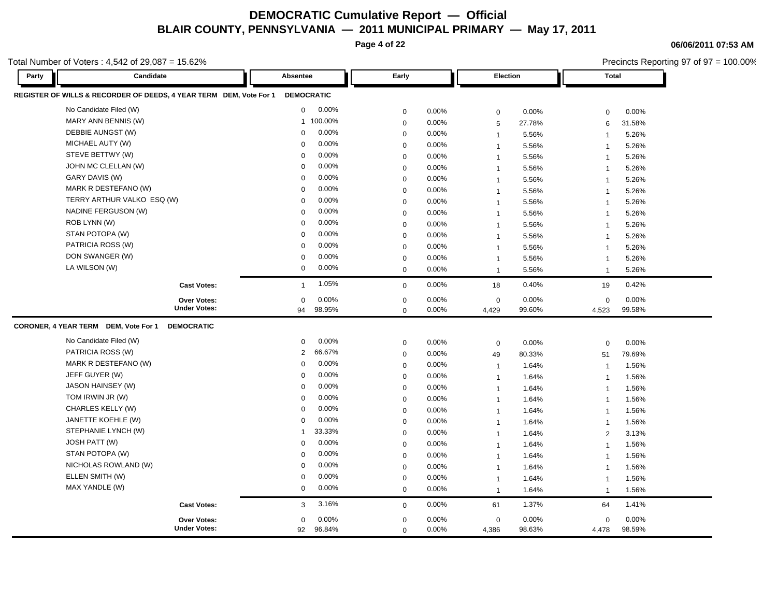**Page 4 of 22**

**06/06/2011 07:53 AM**

|       | otal Number of Voters: 4,542 of 29,087 = 15.62%                    |                   |          |                  |          |                |        | Precincts Reporting 97 of 97 = 100.00% |        |  |
|-------|--------------------------------------------------------------------|-------------------|----------|------------------|----------|----------------|--------|----------------------------------------|--------|--|
| Party | Candidate                                                          | Absentee          |          | Early            |          | Election       |        | <b>Total</b>                           |        |  |
|       | REGISTER OF WILLS & RECORDER OF DEEDS, 4 YEAR TERM DEM, Vote For 1 | <b>DEMOCRATIC</b> |          |                  |          |                |        |                                        |        |  |
|       | No Candidate Filed (W)                                             | 0                 | 0.00%    | $\mathbf 0$      | 0.00%    | 0              | 0.00%  | $\mathbf 0$                            | 0.00%  |  |
|       | MARY ANN BENNIS (W)                                                | $\mathbf{1}$      | 100.00%  | $\mathbf 0$      | 0.00%    | 5              | 27.78% | 6                                      | 31.58% |  |
|       | DEBBIE AUNGST (W)                                                  | $\mathbf 0$       | 0.00%    | $\mathbf 0$      | 0.00%    | $\overline{1}$ | 5.56%  | $\overline{1}$                         | 5.26%  |  |
|       | MICHAEL AUTY (W)                                                   | $\Omega$          | 0.00%    | $\mathbf 0$      | 0.00%    | $\overline{1}$ | 5.56%  | $\overline{1}$                         | 5.26%  |  |
|       | STEVE BETTWY (W)                                                   | $\Omega$          | 0.00%    | $\mathbf 0$      | 0.00%    | $\overline{1}$ | 5.56%  | $\overline{1}$                         | 5.26%  |  |
|       | JOHN MC CLELLAN (W)                                                | 0                 | 0.00%    | $\mathbf{0}$     | 0.00%    | $\overline{1}$ | 5.56%  | $\overline{1}$                         | 5.26%  |  |
|       | GARY DAVIS (W)                                                     | $\Omega$          | 0.00%    | $\mathbf 0$      | 0.00%    | $\overline{1}$ | 5.56%  | $\overline{1}$                         | 5.26%  |  |
|       | MARK R DESTEFANO (W)                                               | $\mathbf 0$       | 0.00%    | $\mathbf 0$      | 0.00%    | $\overline{1}$ | 5.56%  | $\overline{1}$                         | 5.26%  |  |
|       | TERRY ARTHUR VALKO ESQ (W)                                         | $\Omega$          | 0.00%    | $\mathbf 0$      | 0.00%    | $\overline{1}$ | 5.56%  | $\overline{1}$                         | 5.26%  |  |
|       | NADINE FERGUSON (W)                                                | $\mathbf 0$       | 0.00%    | $\mathbf 0$      | $0.00\%$ | $\overline{1}$ | 5.56%  | $\overline{1}$                         | 5.26%  |  |
|       | ROB LYNN (W)                                                       | $\Omega$          | 0.00%    | $\mathbf 0$      | 0.00%    | $\overline{1}$ | 5.56%  | $\overline{1}$                         | 5.26%  |  |
|       | STAN POTOPA (W)                                                    | $\Omega$          | 0.00%    | $\mathbf 0$      | 0.00%    | $\overline{1}$ | 5.56%  | $\overline{1}$                         | 5.26%  |  |
|       | PATRICIA ROSS (W)                                                  | $\Omega$          | 0.00%    | $\mathbf 0$      | 0.00%    | $\overline{1}$ | 5.56%  | -1                                     | 5.26%  |  |
|       | DON SWANGER (W)                                                    | $\mathbf 0$       | 0.00%    | $\mathbf 0$      | 0.00%    | $\overline{1}$ | 5.56%  | $\overline{\mathbf{1}}$                | 5.26%  |  |
|       | LA WILSON (W)                                                      | 0                 | 0.00%    | $\mathbf 0$      | 0.00%    | $\overline{1}$ | 5.56%  | $\overline{1}$                         | 5.26%  |  |
|       | <b>Cast Votes:</b>                                                 | $\mathbf{1}$      | 1.05%    | $\mathbf 0$      | 0.00%    | 18             | 0.40%  | 19                                     | 0.42%  |  |
|       | <b>Over Votes:</b>                                                 | $\mathbf 0$       | 0.00%    | $\boldsymbol{0}$ | 0.00%    | 0              | 0.00%  | $\pmb{0}$                              | 0.00%  |  |
|       | <b>Under Votes:</b>                                                | 94                | 98.95%   | $\mathbf 0$      | 0.00%    | 4,429          | 99.60% | 4,523                                  | 99.58% |  |
|       | CORONER, 4 YEAR TERM DEM, Vote For 1<br><b>DEMOCRATIC</b>          |                   |          |                  |          |                |        |                                        |        |  |
|       | No Candidate Filed (W)                                             | $\mathbf 0$       | 0.00%    | $\mathbf 0$      | 0.00%    | $\mathbf 0$    | 0.00%  | $\mathbf 0$                            | 0.00%  |  |
|       | PATRICIA ROSS (W)                                                  | $\overline{2}$    | 66.67%   | $\mathbf 0$      | 0.00%    | 49             | 80.33% | 51                                     | 79.69% |  |
|       | MARK R DESTEFANO (W)                                               | $\Omega$          | 0.00%    | $\mathbf 0$      | 0.00%    | $\overline{1}$ | 1.64%  | -1                                     | 1.56%  |  |
|       | JEFF GUYER (W)                                                     | $\mathbf 0$       | 0.00%    | $\mathbf 0$      | 0.00%    | $\overline{1}$ | 1.64%  | $\overline{1}$                         | 1.56%  |  |
|       | <b>JASON HAINSEY (W)</b>                                           | $\Omega$          | 0.00%    | $\mathbf 0$      | 0.00%    | $\overline{1}$ | 1.64%  | $\overline{1}$                         | 1.56%  |  |
|       | TOM IRWIN JR (W)                                                   | $\mathbf 0$       | 0.00%    | $\mathbf 0$      | 0.00%    | $\overline{1}$ | 1.64%  | $\overline{1}$                         | 1.56%  |  |
|       | CHARLES KELLY (W)                                                  | 0                 | 0.00%    | $\mathbf 0$      | 0.00%    | $\overline{1}$ | 1.64%  | $\overline{1}$                         | 1.56%  |  |
|       | JANETTE KOEHLE (W)                                                 | $\Omega$          | 0.00%    | $\mathbf 0$      | 0.00%    | $\mathbf{1}$   | 1.64%  | $\overline{1}$                         | 1.56%  |  |
|       | STEPHANIE LYNCH (W)                                                | -1                | 33.33%   | $\mathbf 0$      | 0.00%    | $\overline{1}$ | 1.64%  | 2                                      | 3.13%  |  |
|       | <b>JOSH PATT (W)</b>                                               | $\Omega$          | 0.00%    | $\mathbf 0$      | 0.00%    | $\mathbf{1}$   | 1.64%  | $\overline{1}$                         | 1.56%  |  |
|       | STAN POTOPA (W)                                                    | $\mathbf 0$       | 0.00%    | $\mathbf 0$      | 0.00%    | $\overline{1}$ | 1.64%  | $\overline{1}$                         | 1.56%  |  |
|       | NICHOLAS ROWLAND (W)                                               | $\mathbf 0$       | 0.00%    | $\mathbf 0$      | 0.00%    | $\mathbf{1}$   | 1.64%  | $\overline{1}$                         | 1.56%  |  |
|       | ELLEN SMITH (W)                                                    | $\mathbf 0$       | 0.00%    | $\mathbf 0$      | 0.00%    | $\overline{1}$ | 1.64%  | $\overline{1}$                         | 1.56%  |  |
|       | MAX YANDLE (W)                                                     | $\mathbf 0$       | 0.00%    | $\mathbf 0$      | 0.00%    | $\mathbf{1}$   | 1.64%  | $\overline{1}$                         | 1.56%  |  |
|       | <b>Cast Votes:</b>                                                 | 3                 | 3.16%    | $\mathbf 0$      | 0.00%    | 61             | 1.37%  | 64                                     | 1.41%  |  |
|       | <b>Over Votes:</b>                                                 | 0                 | $0.00\%$ | $\mathbf 0$      | 0.00%    | 0              | 0.00%  | 0                                      | 0.00%  |  |
|       | <b>Under Votes:</b>                                                | 92                | 96.84%   | $\Omega$         | 0.00%    | 4,386          | 98.63% | 4,478                                  | 98.59% |  |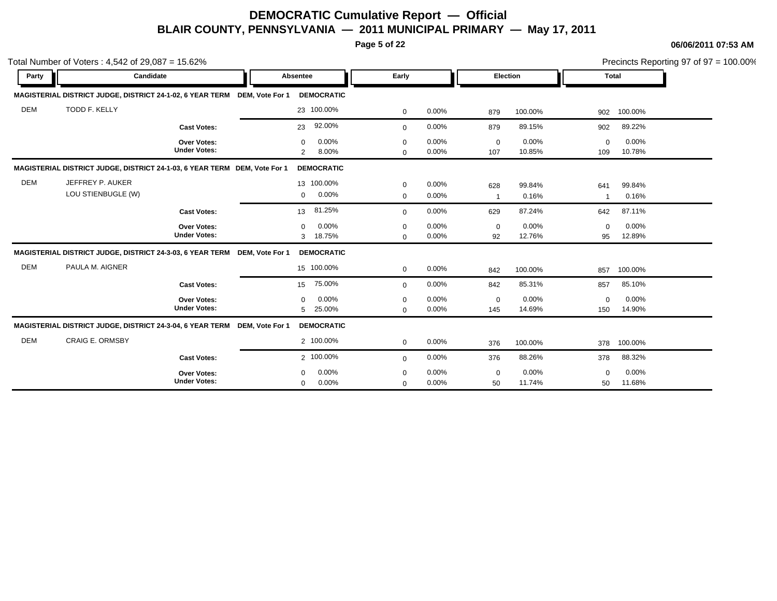**Page 5 of 22**

|            | Total Number of Voters: $4,542$ of $29,087 = 15.62\%$                     |                                           |          |                                              |                            |                |                       |                 |                    |                 | Precincts Reporting 97 of 97 = 100.00% |
|------------|---------------------------------------------------------------------------|-------------------------------------------|----------|----------------------------------------------|----------------------------|----------------|-----------------------|-----------------|--------------------|-----------------|----------------------------------------|
| Party      | Candidate                                                                 |                                           | Absentee |                                              | Early                      |                | Election              |                 | <b>Total</b>       |                 |                                        |
|            | MAGISTERIAL DISTRICT JUDGE, DISTRICT 24-1-02, 6 YEAR TERM DEM, Vote For 1 |                                           |          | <b>DEMOCRATIC</b>                            |                            |                |                       |                 |                    |                 |                                        |
| <b>DEM</b> | TODD F. KELLY                                                             |                                           |          | 23 100.00%                                   | $\mathbf 0$                | 0.00%          | 879                   | 100.00%         | 902                | 100.00%         |                                        |
|            |                                                                           | <b>Cast Votes:</b>                        |          | 92.00%<br>23                                 | $\mathbf{0}$               | 0.00%          | 879                   | 89.15%          | 902                | 89.22%          |                                        |
|            |                                                                           | <b>Over Votes:</b><br><b>Under Votes:</b> |          | 0.00%<br>$\Omega$<br>8.00%<br>$\overline{2}$ | 0<br>$\mathbf 0$           | 0.00%<br>0.00% | $\mathbf 0$<br>107    | 0.00%<br>10.85% | $\mathbf 0$<br>109 | 0.00%<br>10.78% |                                        |
|            | MAGISTERIAL DISTRICT JUDGE, DISTRICT 24-1-03, 6 YEAR TERM DEM, Vote For 1 |                                           |          | <b>DEMOCRATIC</b>                            |                            |                |                       |                 |                    |                 |                                        |
| <b>DEM</b> | JEFFREY P. AUKER<br>LOU STIENBUGLE (W)                                    |                                           |          | 13 100.00%<br>0.00%<br>$\mathbf 0$           | $\mathbf 0$<br>$\mathbf 0$ | 0.00%<br>0.00% | 628<br>$\overline{1}$ | 99.84%<br>0.16% | 641<br>-1          | 99.84%<br>0.16% |                                        |
|            |                                                                           | <b>Cast Votes:</b>                        |          | 81.25%<br>13                                 | $\mathbf 0$                | 0.00%          | 629                   | 87.24%          | 642                | 87.11%          |                                        |
|            |                                                                           | Over Votes:<br><b>Under Votes:</b>        |          | 0.00%<br>$\mathbf 0$<br>18.75%<br>3          | $\mathbf 0$<br>$\mathbf 0$ | 0.00%<br>0.00% | $\mathbf 0$<br>92     | 0.00%<br>12.76% | $\mathbf 0$<br>95  | 0.00%<br>12.89% |                                        |
|            | MAGISTERIAL DISTRICT JUDGE, DISTRICT 24-3-03, 6 YEAR TERM DEM, Vote For 1 |                                           |          | <b>DEMOCRATIC</b>                            |                            |                |                       |                 |                    |                 |                                        |
| <b>DEM</b> | PAULA M. AIGNER                                                           |                                           |          | 15 100.00%                                   | $\mathbf 0$                | 0.00%          | 842                   | 100.00%         | 857                | 100.00%         |                                        |
|            |                                                                           | <b>Cast Votes:</b>                        |          | 75.00%<br>15                                 | $\mathbf 0$                | 0.00%          | 842                   | 85.31%          | 857                | 85.10%          |                                        |
|            |                                                                           | Over Votes:<br><b>Under Votes:</b>        |          | 0.00%<br>$\Omega$<br>25.00%<br>5             | $\Omega$<br>$\mathbf 0$    | 0.00%<br>0.00% | $\mathbf 0$<br>145    | 0.00%<br>14.69% | $\mathbf 0$<br>150 | 0.00%<br>14.90% |                                        |
|            | MAGISTERIAL DISTRICT JUDGE, DISTRICT 24-3-04, 6 YEAR TERM DEM, Vote For 1 |                                           |          | <b>DEMOCRATIC</b>                            |                            |                |                       |                 |                    |                 |                                        |
| <b>DEM</b> | <b>CRAIG E. ORMSBY</b>                                                    |                                           |          | 2 100.00%                                    | $\mathbf 0$                | 0.00%          | 376                   | 100.00%         | 378                | 100.00%         |                                        |
|            |                                                                           | <b>Cast Votes:</b>                        |          | 2 100.00%                                    | $\mathbf 0$                | 0.00%          | 376                   | 88.26%          | 378                | 88.32%          |                                        |
|            |                                                                           | <b>Over Votes:</b><br><b>Under Votes:</b> |          | 0.00%<br>$\Omega$<br>0.00%<br>$\mathbf 0$    | $\Omega$<br>$\mathbf 0$    | 0.00%<br>0.00% | $\mathbf 0$<br>50     | 0.00%<br>11.74% | $\Omega$<br>50     | 0.00%<br>11.68% |                                        |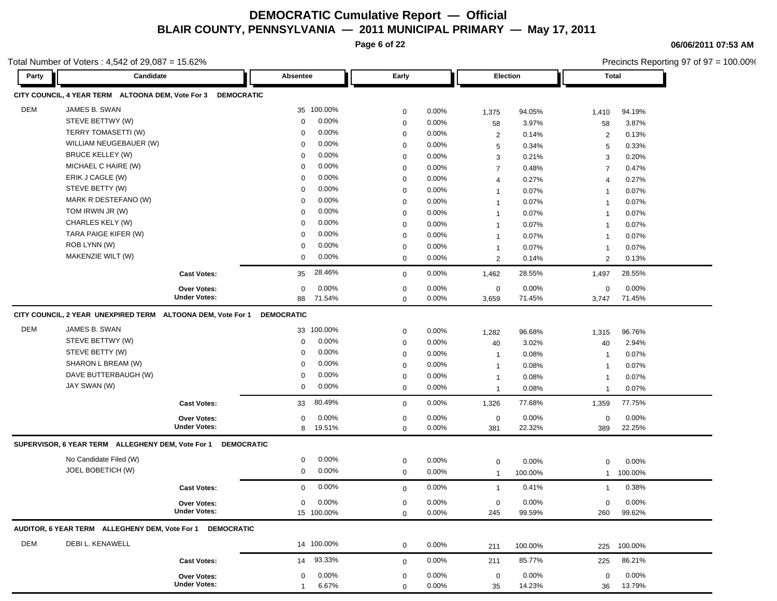**Page 6 of 22**

**06/06/2011 07:53 AM**

|            | Total Number of Voters: 4,542 of 29,087 = 15.62%             |                                    |                       |             |          |                       |          |                | Precincts Reporting 97 of 97 = 100.00% |  |  |
|------------|--------------------------------------------------------------|------------------------------------|-----------------------|-------------|----------|-----------------------|----------|----------------|----------------------------------------|--|--|
| Party      | Candidate                                                    |                                    | Absentee              | Early       |          |                       | Election |                | <b>Total</b>                           |  |  |
|            | CITY COUNCIL, 4 YEAR TERM ALTOONA DEM, Vote For 3            | <b>DEMOCRATIC</b>                  |                       |             |          |                       |          |                |                                        |  |  |
| <b>DEM</b> | JAMES B. SWAN                                                |                                    | 35 100.00%            | $\mathbf 0$ | 0.00%    | 1,375                 | 94.05%   | 1,410          | 94.19%                                 |  |  |
|            | STEVE BETTWY (W)                                             |                                    | 0.00%<br>$\mathbf 0$  | $\mathbf 0$ | 0.00%    | 58                    | 3.97%    | 58             | 3.87%                                  |  |  |
|            | TERRY TOMASETTI (W)                                          |                                    | 0.00%<br>0            | $\mathbf 0$ | $0.00\%$ | $\overline{c}$        | 0.14%    | $\overline{2}$ | 0.13%                                  |  |  |
|            | WILLIAM NEUGEBAUER (W)                                       |                                    | 0.00%<br>0            | 0           | 0.00%    | 5                     | 0.34%    | 5              | 0.33%                                  |  |  |
|            | <b>BRUCE KELLEY (W)</b>                                      |                                    | 0.00%<br>0            | $\mathbf 0$ | 0.00%    | 3                     | 0.21%    | 3              | 0.20%                                  |  |  |
|            | MICHAEL C HAIRE (W)                                          |                                    | 0.00%<br>0            | 0           | 0.00%    | $\overline{7}$        | 0.48%    | $\overline{7}$ | 0.47%                                  |  |  |
|            | ERIK J CAGLE (W)                                             |                                    | 0.00%<br>0            | $\mathbf 0$ | 0.00%    | $\overline{4}$        | 0.27%    | 4              | 0.27%                                  |  |  |
|            | STEVE BETTY (W)                                              |                                    | 0.00%<br>0            | $\mathbf 0$ | 0.00%    | $\mathbf{1}$          | 0.07%    | -1             | 0.07%                                  |  |  |
|            | MARK R DESTEFANO (W)                                         |                                    | 0.00%<br>0            | $\mathbf 0$ | $0.00\%$ | $\mathbf{1}$          | 0.07%    | -1             | 0.07%                                  |  |  |
|            | TOM IRWIN JR (W)                                             |                                    | 0.00%<br>0            | $\mathbf 0$ | $0.00\%$ | $\mathbf{1}$          | 0.07%    | -1             | 0.07%                                  |  |  |
|            | CHARLES KELY (W)                                             |                                    | 0.00%<br>0            | $\mathbf 0$ | 0.00%    | $\mathbf{1}$          | 0.07%    | 1              | 0.07%                                  |  |  |
|            | TARA PAIGE KIFER (W)                                         |                                    | 0.00%<br>$\mathbf 0$  | $\mathbf 0$ | 0.00%    | $\mathbf{1}$          | 0.07%    | $\mathbf{1}$   | 0.07%                                  |  |  |
|            | ROB LYNN (W)                                                 |                                    | 0.00%<br>0            | $\mathbf 0$ | 0.00%    | $\mathbf{1}$          | 0.07%    | $\mathbf{1}$   | 0.07%                                  |  |  |
|            | MAKENZIE WILT (W)                                            |                                    | 0.00%<br>$\mathbf 0$  | $\mathbf 0$ | $0.00\%$ | $\mathbf{2}^{\prime}$ | 0.14%    | 2              | 0.13%                                  |  |  |
|            |                                                              | <b>Cast Votes:</b>                 | 28.46%<br>35          | $\mathbf 0$ | 0.00%    | 1,462                 | 28.55%   | 1,497          | 28.55%                                 |  |  |
|            |                                                              | Over Votes:                        | 0.00%<br>$\mathbf 0$  | $\mathbf 0$ | $0.00\%$ | $\mathbf 0$           | 0.00%    | $\mathbf 0$    | 0.00%                                  |  |  |
|            |                                                              | <b>Under Votes:</b>                | 88<br>71.54%          | $\mathbf 0$ | $0.00\%$ | 3,659                 | 71.45%   | 3,747          | 71.45%                                 |  |  |
|            | CITY COUNCIL, 2 YEAR UNEXPIRED TERM ALTOONA DEM, Vote For 1  |                                    | <b>DEMOCRATIC</b>     |             |          |                       |          |                |                                        |  |  |
| DEM        | JAMES B. SWAN                                                |                                    | 100.00%<br>33         | $\mathbf 0$ | 0.00%    | 1,282                 | 96.68%   | 1,315          | 96.76%                                 |  |  |
|            | STEVE BETTWY (W)                                             |                                    | 0.00%<br>0            | $\mathbf 0$ | 0.00%    | 40                    | 3.02%    | 40             | 2.94%                                  |  |  |
|            | STEVE BETTY (W)                                              |                                    | 0.00%<br>0            | $\mathbf 0$ | 0.00%    | $\mathbf{1}$          | 0.08%    | 1              | 0.07%                                  |  |  |
|            | SHARON L BREAM (W)<br>DAVE BUTTERBAUGH (W)                   |                                    | 0.00%<br>$\mathbf 0$  | $\mathbf 0$ | $0.00\%$ | $\mathbf{1}$          | 0.08%    | $\mathbf{1}$   | 0.07%                                  |  |  |
|            | JAY SWAN (W)                                                 |                                    | 0.00%<br>0<br>0.00%   | $\mathbf 0$ | 0.00%    | $\overline{1}$        | 0.08%    | $\mathbf{1}$   | 0.07%                                  |  |  |
|            |                                                              |                                    | 0                     | $\mathbf 0$ | 0.00%    | $\mathbf{1}$          | 0.08%    | $\mathbf{1}$   | 0.07%                                  |  |  |
|            |                                                              | <b>Cast Votes:</b>                 | 80.49%<br>33          | $\mathbf 0$ | 0.00%    | 1,326                 | 77.68%   | 1,359          | 77.75%                                 |  |  |
|            |                                                              | Over Votes:<br><b>Under Votes:</b> | 0.00%<br>0            | $\mathbf 0$ | 0.00%    | $\mathbf 0$           | 0.00%    | $\mathbf 0$    | 0.00%                                  |  |  |
|            |                                                              |                                    | 19.51%<br>8           | $\mathbf 0$ | $0.00\%$ | 381                   | 22.32%   | 389            | 22.25%                                 |  |  |
|            | SUPERVISOR, 6 YEAR TERM ALLEGHENY DEM, Vote For 1 DEMOCRATIC |                                    |                       |             |          |                       |          |                |                                        |  |  |
|            | No Candidate Filed (W)                                       |                                    | 0.00%<br>$\mathbf 0$  | $\mathbf 0$ | 0.00%    | $\mathbf 0$           | 0.00%    | $\mathbf 0$    | 0.00%                                  |  |  |
|            | JOEL BOBETICH (W)                                            |                                    | $\mathbf 0$<br>0.00%  | $\mathbf 0$ | 0.00%    | $\overline{1}$        | 100.00%  |                | 100.00%                                |  |  |
|            |                                                              | <b>Cast Votes:</b>                 | 0.00%<br>$\mathbf 0$  | $\mathbf 0$ | 0.00%    | $\mathbf{1}$          | 0.41%    | 1              | 0.38%                                  |  |  |
|            |                                                              | Over Votes:                        | 0.00%<br>$\mathbf 0$  | 0           | 0.00%    | $\mathbf 0$           | 0.00%    | 0              | 0.00%                                  |  |  |
|            |                                                              | <b>Under Votes:</b>                | 15 100.00%            | $\mathbf 0$ | 0.00%    | 245                   | 99.59%   | 260            | 99.62%                                 |  |  |
|            | AUDITOR, 6 YEAR TERM ALLEGHENY DEM, Vote For 1               | <b>DEMOCRATIC</b>                  |                       |             |          |                       |          |                |                                        |  |  |
| DEM        | DEBI L. KENAWELL                                             |                                    | 14 100.00%            | 0           | 0.00%    | 211                   | 100.00%  | 225            | 100.00%                                |  |  |
|            |                                                              | <b>Cast Votes:</b>                 | 93.33%<br>14          | $\mathbf 0$ | 0.00%    | 211                   | 85.77%   | 225            | 86.21%                                 |  |  |
|            |                                                              | Over Votes:                        | 0.00%<br>$\mathbf 0$  | 0           | 0.00%    | $\mathbf 0$           | 0.00%    | 0              | 0.00%                                  |  |  |
|            |                                                              | <b>Under Votes:</b>                | 6.67%<br>$\mathbf{1}$ | $\mathbf 0$ | 0.00%    | 35                    | 14.23%   | 36             | 13.79%                                 |  |  |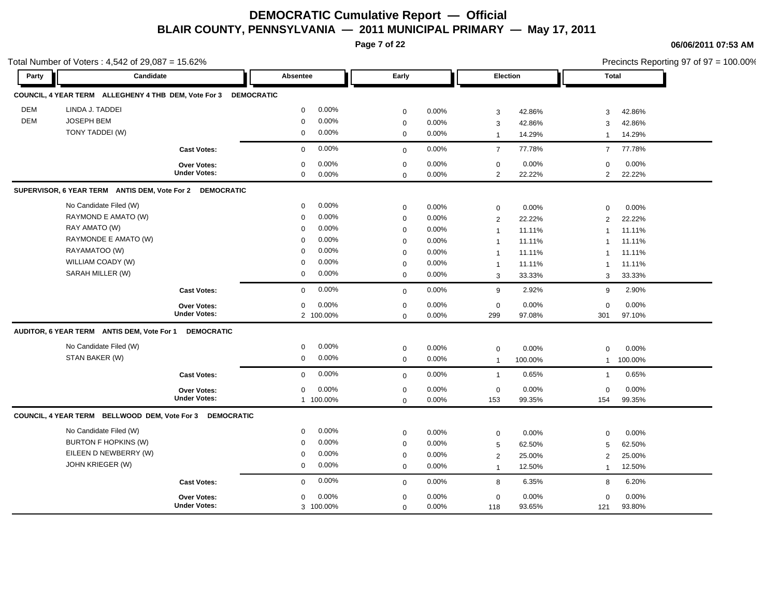**Page 7 of 22**

|            | Total Number of Voters: 4,542 of 29,087 = 15.62%                |                     |                      |              |       |                |         |                | Precincts Reporting 97 of 97 = 100.00% |
|------------|-----------------------------------------------------------------|---------------------|----------------------|--------------|-------|----------------|---------|----------------|----------------------------------------|
| Party      | Candidate                                                       |                     | Absentee             | Early        |       | Election       |         | <b>Total</b>   |                                        |
|            | COUNCIL, 4 YEAR TERM ALLEGHENY 4 THB DEM, Vote For 3 DEMOCRATIC |                     |                      |              |       |                |         |                |                                        |
| <b>DEM</b> | LINDA J. TADDEI                                                 |                     | 0.00%<br>$\mathbf 0$ | $\pmb{0}$    | 0.00% | $\mathbf{3}$   | 42.86%  | 3              | 42.86%                                 |
| <b>DEM</b> | <b>JOSEPH BEM</b>                                               |                     | 0.00%<br>$\mathbf 0$ | $\mathbf 0$  | 0.00% | 3              | 42.86%  | 3              | 42.86%                                 |
|            | TONY TADDEI (W)                                                 |                     | 0.00%<br>0           | $\mathbf 0$  | 0.00% | $\overline{1}$ | 14.29%  | $\mathbf{1}$   | 14.29%                                 |
|            |                                                                 | <b>Cast Votes:</b>  | 0.00%<br>$\mathbf 0$ | $\mathbf{0}$ | 0.00% | $\overline{7}$ | 77.78%  | $\overline{7}$ | 77.78%                                 |
|            |                                                                 | Over Votes:         | 0.00%<br>$\Omega$    | $\mathbf 0$  | 0.00% | $\mathbf 0$    | 0.00%   | 0              | 0.00%                                  |
|            |                                                                 | <b>Under Votes:</b> | $\mathbf 0$<br>0.00% | $\mathbf 0$  | 0.00% | $\overline{2}$ | 22.22%  | $\overline{2}$ | 22.22%                                 |
|            | SUPERVISOR, 6 YEAR TERM ANTIS DEM, Vote For 2 DEMOCRATIC        |                     |                      |              |       |                |         |                |                                        |
|            | No Candidate Filed (W)                                          |                     | 0.00%<br>$\mathbf 0$ | $\mathbf 0$  | 0.00% | $\mathbf 0$    | 0.00%   | $\mathbf 0$    | 0.00%                                  |
|            | RAYMOND E AMATO (W)                                             |                     | 0.00%<br>$\Omega$    | $\mathbf 0$  | 0.00% | 2              | 22.22%  | 2              | 22.22%                                 |
|            | RAY AMATO (W)                                                   |                     | 0.00%<br>$\mathbf 0$ | $\mathbf 0$  | 0.00% | $\overline{1}$ | 11.11%  | $\overline{1}$ | 11.11%                                 |
|            | RAYMONDE E AMATO (W)                                            |                     | 0.00%<br>0           | $\mathbf 0$  | 0.00% | $\overline{1}$ | 11.11%  | 1              | 11.11%                                 |
|            | RAYAMATOO (W)                                                   |                     | 0.00%<br>$\mathbf 0$ | $\mathbf 0$  | 0.00% | $\overline{1}$ | 11.11%  | $\overline{1}$ | 11.11%                                 |
|            | WILLIAM COADY (W)                                               |                     | 0.00%<br>$\mathbf 0$ | $\mathbf 0$  | 0.00% | $\overline{1}$ | 11.11%  | $\mathbf 1$    | 11.11%                                 |
|            | SARAH MILLER (W)                                                |                     | 0.00%<br>$\mathbf 0$ | $\mathbf 0$  | 0.00% | 3              | 33.33%  | 3              | 33.33%                                 |
|            |                                                                 | <b>Cast Votes:</b>  | 0.00%<br>$\mathbf 0$ | $\mathbf 0$  | 0.00% | 9              | 2.92%   | 9              | 2.90%                                  |
|            |                                                                 | Over Votes:         | 0.00%<br>$\mathbf 0$ | $\pmb{0}$    | 0.00% | $\mathbf 0$    | 0.00%   | $\mathbf 0$    | 0.00%                                  |
|            |                                                                 | <b>Under Votes:</b> | 2 100.00%            | $\mathbf 0$  | 0.00% | 299            | 97.08%  | 301            | 97.10%                                 |
|            | AUDITOR, 6 YEAR TERM ANTIS DEM, Vote For 1                      | <b>DEMOCRATIC</b>   |                      |              |       |                |         |                |                                        |
|            | No Candidate Filed (W)                                          |                     | 0.00%<br>$\mathbf 0$ | $\mathbf 0$  | 0.00% | $\mathbf 0$    | 0.00%   | $\mathbf 0$    | 0.00%                                  |
|            | STAN BAKER (W)                                                  |                     | 0.00%<br>$\mathbf 0$ | $\mathbf 0$  | 0.00% | $\overline{1}$ | 100.00% | $\mathbf{1}$   | 100.00%                                |
|            |                                                                 | <b>Cast Votes:</b>  | 0.00%<br>$\mathbf 0$ | $\mathbf 0$  | 0.00% | $\mathbf{1}$   | 0.65%   | $\mathbf{1}$   | 0.65%                                  |
|            |                                                                 | Over Votes:         | 0.00%<br>$\mathbf 0$ | $\pmb{0}$    | 0.00% | $\mathbf 0$    | 0.00%   | $\mathbf 0$    | 0.00%                                  |
|            |                                                                 | <b>Under Votes:</b> | 1 100.00%            | $\mathbf 0$  | 0.00% | 153            | 99.35%  | 154            | 99.35%                                 |
|            | COUNCIL, 4 YEAR TERM BELLWOOD DEM, Vote For 3 DEMOCRATIC        |                     |                      |              |       |                |         |                |                                        |
|            | No Candidate Filed (W)                                          |                     | 0.00%<br>$\mathbf 0$ | $\mathbf 0$  | 0.00% | $\mathbf 0$    | 0.00%   | $\mathbf 0$    | 0.00%                                  |
|            | <b>BURTON F HOPKINS (W)</b>                                     |                     | 0.00%<br>$\mathbf 0$ | $\mathbf 0$  | 0.00% | 5              | 62.50%  | 5              | 62.50%                                 |
|            | EILEEN D NEWBERRY (W)                                           |                     | 0.00%<br>$\mathbf 0$ | $\mathbf 0$  | 0.00% | $\overline{2}$ | 25.00%  | $\overline{2}$ | 25.00%                                 |
|            | JOHN KRIEGER (W)                                                |                     | 0.00%<br>$\mathbf 0$ | $\mathbf 0$  | 0.00% | $\overline{1}$ | 12.50%  | $\mathbf{1}$   | 12.50%                                 |
|            |                                                                 | <b>Cast Votes:</b>  | 0.00%<br>$\mathbf 0$ | $\mathbf 0$  | 0.00% | 8              | 6.35%   | 8              | 6.20%                                  |
|            |                                                                 | Over Votes:         | 0.00%<br>$\mathbf 0$ | $\pmb{0}$    | 0.00% | $\mathbf 0$    | 0.00%   | 0              | 0.00%                                  |
|            |                                                                 | <b>Under Votes:</b> | 3 100.00%            | $\mathbf 0$  | 0.00% | 118            | 93.65%  | 121            | 93.80%                                 |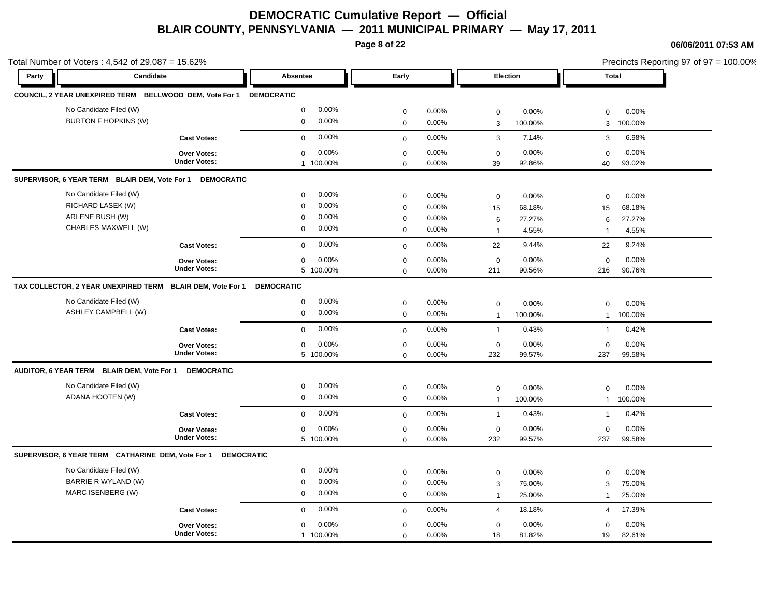**Page 8 of 22**

| Total Number of Voters: 4,542 of 29,087 = 15.62%                   |                                    |                      |              |       |                |         | Precincts Reporting 97 of 97 = 100.00% |         |  |
|--------------------------------------------------------------------|------------------------------------|----------------------|--------------|-------|----------------|---------|----------------------------------------|---------|--|
| Party                                                              | Candidate                          | Absentee             | Early        |       | Election       |         | <b>Total</b>                           |         |  |
| COUNCIL, 2 YEAR UNEXPIRED TERM BELLWOOD DEM, Vote For 1 DEMOCRATIC |                                    |                      |              |       |                |         |                                        |         |  |
| No Candidate Filed (W)                                             |                                    | 0.00%<br>$\mathbf 0$ | $\mathbf 0$  | 0.00% | $\mathbf 0$    | 0.00%   | $\mathbf 0$                            | 0.00%   |  |
| <b>BURTON F HOPKINS (W)</b>                                        |                                    | 0.00%<br>$\mathbf 0$ | $\mathbf 0$  | 0.00% | $\mathbf{3}$   | 100.00% | 3                                      | 100.00% |  |
|                                                                    | <b>Cast Votes:</b>                 | 0.00%<br>$\mathbf 0$ | $\mathbf{0}$ | 0.00% | 3              | 7.14%   | 3                                      | 6.98%   |  |
|                                                                    | <b>Over Votes:</b>                 | 0.00%<br>$\mathbf 0$ | $\mathbf 0$  | 0.00% | $\mathbf 0$    | 0.00%   | $\mathbf 0$                            | 0.00%   |  |
|                                                                    | <b>Under Votes:</b>                | 1 100.00%            | $\mathbf 0$  | 0.00% | 39             | 92.86%  | 40                                     | 93.02%  |  |
| SUPERVISOR, 6 YEAR TERM BLAIR DEM, Vote For 1                      | <b>DEMOCRATIC</b>                  |                      |              |       |                |         |                                        |         |  |
| No Candidate Filed (W)                                             |                                    | 0.00%<br>$\mathbf 0$ | $\mathbf 0$  | 0.00% | $\mathbf 0$    | 0.00%   | $\mathbf 0$                            | 0.00%   |  |
| RICHARD LASEK (W)                                                  |                                    | 0.00%<br>$\mathbf 0$ | $\mathbf 0$  | 0.00% | 15             | 68.18%  | 15                                     | 68.18%  |  |
| ARLENE BUSH (W)                                                    |                                    | 0.00%<br>$\mathbf 0$ | $\mathbf 0$  | 0.00% | 6              | 27.27%  | 6                                      | 27.27%  |  |
| CHARLES MAXWELL (W)                                                |                                    | 0.00%<br>$\mathbf 0$ | $\mathbf 0$  | 0.00% | $\overline{1}$ | 4.55%   | $\overline{1}$                         | 4.55%   |  |
|                                                                    | <b>Cast Votes:</b>                 | 0.00%<br>$\mathbf 0$ | $\mathbf 0$  | 0.00% | 22             | 9.44%   | 22                                     | 9.24%   |  |
|                                                                    | Over Votes:                        | 0.00%<br>$\mathbf 0$ | $\mathbf 0$  | 0.00% | $\mathbf 0$    | 0.00%   | $\mathbf 0$                            | 0.00%   |  |
|                                                                    | <b>Under Votes:</b>                | 5 100.00%            | $\mathbf 0$  | 0.00% | 211            | 90.56%  | 216                                    | 90.76%  |  |
| TAX COLLECTOR, 2 YEAR UNEXPIRED TERM BLAIR DEM, Vote For 1         |                                    | <b>DEMOCRATIC</b>    |              |       |                |         |                                        |         |  |
| No Candidate Filed (W)                                             |                                    | 0.00%<br>$\mathbf 0$ | $\mathbf 0$  | 0.00% | $\mathbf 0$    | 0.00%   | $\mathbf 0$                            | 0.00%   |  |
| <b>ASHLEY CAMPBELL (W)</b>                                         |                                    | 0.00%<br>$\mathbf 0$ | $\pmb{0}$    | 0.00% | $\overline{1}$ | 100.00% | $\mathbf{1}$                           | 100.00% |  |
|                                                                    | <b>Cast Votes:</b>                 | 0.00%<br>$\mathbf 0$ | $\mathbf 0$  | 0.00% | $\mathbf{1}$   | 0.43%   | $\mathbf{1}$                           | 0.42%   |  |
|                                                                    | <b>Over Votes:</b>                 | 0.00%<br>$\mathbf 0$ | $\mathbf 0$  | 0.00% | $\mathbf 0$    | 0.00%   | $\mathbf 0$                            | 0.00%   |  |
|                                                                    | <b>Under Votes:</b>                | 5 100.00%            | $\mathsf 0$  | 0.00% | 232            | 99.57%  | 237                                    | 99.58%  |  |
| AUDITOR, 6 YEAR TERM BLAIR DEM, Vote For 1                         | <b>DEMOCRATIC</b>                  |                      |              |       |                |         |                                        |         |  |
| No Candidate Filed (W)                                             |                                    | 0.00%<br>0           | $\pmb{0}$    | 0.00% | $\mathsf 0$    | 0.00%   | 0                                      | 0.00%   |  |
| ADANA HOOTEN (W)                                                   |                                    | 0.00%<br>$\mathbf 0$ | $\mathbf 0$  | 0.00% | $\overline{1}$ | 100.00% | $\mathbf{1}$                           | 100.00% |  |
|                                                                    | <b>Cast Votes:</b>                 | 0.00%<br>$\mathbf 0$ | $\mathbf 0$  | 0.00% | $\overline{1}$ | 0.43%   | $\mathbf{1}$                           | 0.42%   |  |
|                                                                    | Over Votes:                        | 0.00%<br>$\mathbf 0$ | $\mathbf 0$  | 0.00% | $\mathbf 0$    | 0.00%   | $\mathbf 0$                            | 0.00%   |  |
|                                                                    | <b>Under Votes:</b>                | 5 100.00%            | $\mathbf 0$  | 0.00% | 232            | 99.57%  | 237                                    | 99.58%  |  |
| SUPERVISOR, 6 YEAR TERM CATHARINE DEM, Vote For 1 DEMOCRATIC       |                                    |                      |              |       |                |         |                                        |         |  |
| No Candidate Filed (W)                                             |                                    | 0.00%<br>$\mathbf 0$ | $\mathbf 0$  | 0.00% | $\mathbf 0$    | 0.00%   | $\mathbf 0$                            | 0.00%   |  |
| BARRIE R WYLAND (W)                                                |                                    | 0.00%<br>0           | $\mathbf 0$  | 0.00% | 3              | 75.00%  | 3                                      | 75.00%  |  |
| MARC ISENBERG (W)                                                  |                                    | $\mathbf 0$<br>0.00% | $\mathbf 0$  | 0.00% | $\overline{1}$ | 25.00%  | $\overline{1}$                         | 25.00%  |  |
|                                                                    | <b>Cast Votes:</b>                 | 0.00%<br>$\mathbf 0$ | $\mathbf 0$  | 0.00% | $\overline{4}$ | 18.18%  | 4                                      | 17.39%  |  |
|                                                                    |                                    | 0.00%<br>0           | $\mathbf 0$  | 0.00% | $\mathbf 0$    | 0.00%   | $\mathbf 0$                            | 0.00%   |  |
|                                                                    | Over Votes:<br><b>Under Votes:</b> | 1 100.00%            | $\mathbf 0$  | 0.00% | 18             | 81.82%  | 19                                     | 82.61%  |  |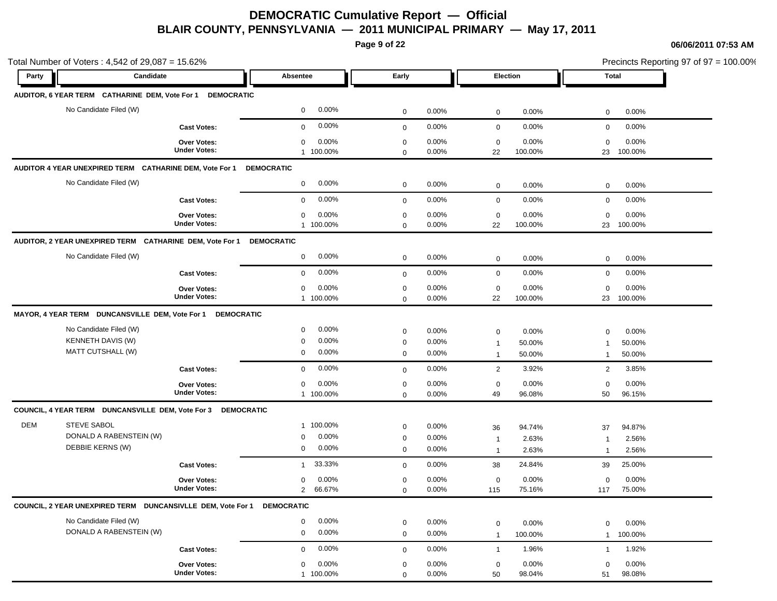**Page 9 of 22**

| Total Number of Voters: 4,542 of 29,087 = 15.62%             |                                                          |                                           |                            |                         |                      |                          | Precincts Reporting 97 of 97 = 100.00% |                          |
|--------------------------------------------------------------|----------------------------------------------------------|-------------------------------------------|----------------------------|-------------------------|----------------------|--------------------------|----------------------------------------|--------------------------|
| Candidate<br>Party                                           |                                                          | Absentee                                  | Early                      |                         | Election             |                          | Total                                  |                          |
| AUDITOR, 6 YEAR TERM CATHARINE DEM, Vote For 1 DEMOCRATIC    |                                                          |                                           |                            |                         |                      |                          |                                        |                          |
| No Candidate Filed (W)                                       |                                                          | 0.00%<br>$\mathbf 0$                      | $\mathbf 0$                | 0.00%                   | $\mathbf 0$          | 0.00%                    | $\mathbf 0$                            | 0.00%                    |
|                                                              | <b>Cast Votes:</b>                                       | 0.00%<br>$\mathbf{0}$                     | $\mathbf 0$                | 0.00%                   | $\mathbf 0$          | 0.00%                    | $\mathbf 0$                            | 0.00%                    |
|                                                              | <b>Over Votes:</b>                                       | 0.00%<br>$\mathbf 0$                      | $\mathbf 0$                | 0.00%                   | $\mathbf 0$          | 0.00%                    | $\mathbf 0$                            | 0.00%                    |
|                                                              | <b>Under Votes:</b>                                      | 1 100.00%                                 | $\mathbf 0$                | $0.00\%$                | 22                   | 100.00%                  | 23                                     | 100.00%                  |
| AUDITOR 4 YEAR UNEXPIRED TERM CATHARINE DEM, Vote For 1      |                                                          | <b>DEMOCRATIC</b>                         |                            |                         |                      |                          |                                        |                          |
| No Candidate Filed (W)                                       |                                                          | 0.00%<br>$\mathbf 0$                      | $\mathbf 0$                | 0.00%                   | $\mathbf 0$          | 0.00%                    | $\mathbf 0$                            | 0.00%                    |
|                                                              | <b>Cast Votes:</b>                                       | 0.00%<br>$\mathbf 0$                      | $\mathbf 0$                | 0.00%                   | $\mathbf 0$          | 0.00%                    | $\mathbf 0$                            | 0.00%                    |
|                                                              | <b>Over Votes:</b>                                       | 0.00%<br>$\mathbf 0$                      | $\mathbf 0$                | 0.00%                   | $\mathbf 0$          | 0.00%                    | $\mathbf 0$                            | 0.00%                    |
|                                                              | <b>Under Votes:</b>                                      | 1 100.00%                                 | $\mathbf 0$                | 0.00%                   | 22                   | 100.00%                  | 23                                     | 100.00%                  |
| AUDITOR, 2 YEAR UNEXPIRED TERM CATHARINE DEM, Vote For 1     |                                                          | <b>DEMOCRATIC</b>                         |                            |                         |                      |                          |                                        |                          |
| No Candidate Filed (W)                                       |                                                          | $0.00\%$<br>0                             | 0                          | 0.00%                   | $\mathbf 0$          | 0.00%                    | $\mathbf 0$                            | 0.00%                    |
|                                                              | <b>Cast Votes:</b>                                       | 0.00%<br>$\mathbf 0$                      | $\mathbf 0$                | 0.00%                   | $\mathbf 0$          | 0.00%                    | $\mathbf 0$                            | 0.00%                    |
|                                                              | <b>Over Votes:</b>                                       | 0.00%<br>0                                | $\mathbf 0$                | 0.00%                   | $\mathbf 0$          | 0.00%                    | $\mathbf 0$                            | 0.00%                    |
|                                                              | <b>Under Votes:</b>                                      | 1 100.00%                                 | $\mathbf 0$                | 0.00%                   | 22                   | 100.00%                  |                                        | 23 100.00%               |
| MAYOR, 4 YEAR TERM DUNCANSVILLE DEM, Vote For 1 DEMOCRATIC   |                                                          |                                           |                            |                         |                      |                          |                                        |                          |
| No Candidate Filed (W)                                       |                                                          | 0.00%<br>0                                | $\mathbf 0$                | 0.00%                   | $\boldsymbol{0}$     | 0.00%                    | $\mathbf 0$                            | 0.00%                    |
| KENNETH DAVIS (W)<br>MATT CUTSHALL (W)                       |                                                          | 0.00%<br>0<br>0.00%<br>0                  | $\mathbf 0$                | 0.00%                   | $\mathbf{1}$         | 50.00%                   | $\mathbf{1}$                           | 50.00%                   |
|                                                              |                                                          |                                           | $\mathbf 0$                | 0.00%                   | $\mathbf{1}$         | 50.00%                   | $\mathbf{1}$                           | 50.00%                   |
|                                                              | <b>Cast Votes:</b>                                       | 0.00%<br>$\mathbf{0}$                     | $\mathbf 0$                | 0.00%                   | $\overline{2}$       | 3.92%                    | $\overline{2}$                         | 3.85%                    |
|                                                              | <b>Over Votes:</b><br><b>Under Votes:</b>                | $0.00\%$<br>$\mathbf 0$<br>1 100.00%      | $\mathbf 0$                | 0.00%<br>0.00%          | $\mathbf 0$<br>49    | 0.00%<br>96.08%          | $\mathbf 0$<br>50                      | 0.00%<br>96.15%          |
|                                                              |                                                          |                                           | $\mathbf 0$                |                         |                      |                          |                                        |                          |
| COUNCIL, 4 YEAR TERM DUNCANSVILLE DEM, Vote For 3 DEMOCRATIC |                                                          |                                           |                            |                         |                      |                          |                                        |                          |
| DEM<br>STEVE SABOL                                           |                                                          | 1 100.00%                                 | $\mathbf 0$                | 0.00%                   | 36                   | 94.74%                   | 37                                     | 94.87%                   |
| DONALD A RABENSTEIN (W)<br>DEBBIE KERNS (W)                  |                                                          | 0.00%<br>0<br>0.00%<br>0                  | $\mathbf 0$                | 0.00%                   | $\overline{1}$       | 2.63%                    | $\overline{1}$                         | 2.56%                    |
|                                                              |                                                          |                                           | $\mathbf 0$                | 0.00%                   | $\overline{1}$       | 2.63%                    | $\mathbf{1}$                           | 2.56%                    |
|                                                              | <b>Cast Votes:</b>                                       | 33.33%<br>$\mathbf{1}$                    | $\mathbf 0$                | 0.00%                   | 38                   | 24.84%                   | 39                                     | 25.00%                   |
|                                                              | <b>Over Votes:</b><br><b>Under Votes:</b>                | $0.00\%$<br>0<br>66.67%<br>$\overline{2}$ | $\mathbf 0$<br>$\mathbf 0$ | 0.00%<br>0.00%          | $\mathbf 0$<br>115   | 0.00%<br>75.16%          | $\mathbf 0$<br>117                     | 0.00%<br>75.00%          |
|                                                              |                                                          |                                           |                            |                         |                      |                          |                                        |                          |
| COUNCIL, 2 YEAR UNEXPIRED TERM DUNCANSIVLLE DEM, Vote For 1  |                                                          | <b>DEMOCRATIC</b>                         |                            |                         |                      |                          |                                        |                          |
| No Candidate Filed (W)<br>DONALD A RABENSTEIN (W)            |                                                          | 0.00%<br>0<br>0.00%<br>0                  | 0                          | 0.00%<br>0.00%          | $\mathbf 0$          | 0.00%                    | $\mathbf 0$                            | 0.00%                    |
|                                                              |                                                          |                                           | $\mathbf 0$                |                         | $\mathbf{1}$         | 100.00%                  | 1                                      | 100.00%                  |
|                                                              |                                                          |                                           |                            |                         |                      |                          |                                        |                          |
|                                                              |                                                          | 0                                         | 0                          |                         | $\mathbf 0$          |                          | $\mathbf 0$                            |                          |
|                                                              | <b>Cast Votes:</b><br>Over Votes:<br><b>Under Votes:</b> | 0.00%<br>0<br>0.00%<br>1 100.00%          | $\mathbf 0$<br>$\mathbf 0$ | 0.00%<br>0.00%<br>0.00% | $\overline{1}$<br>50 | 1.96%<br>0.00%<br>98.04% | $\mathbf{1}$<br>51                     | 1.92%<br>0.00%<br>98.08% |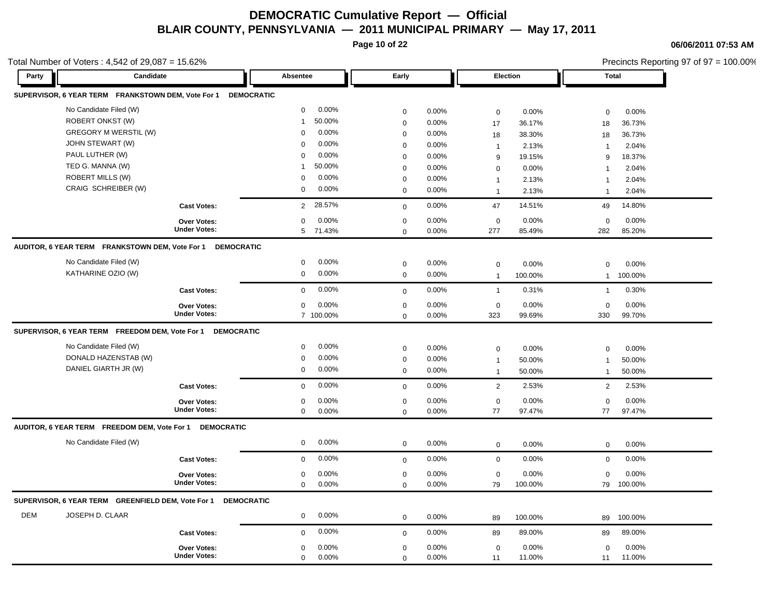**Page 10 of 22**

**06/06/2011 07:53 AM**

| Candidate                                                               | Absentee                                                                                                                                                                                                                                                                                                |                                                                                                                                                                                                                                                                                                                                                   |                                                                                                                                                                                                                                                        |                                                                                                                            |                                                                                                                                                                                                                                                      |                                                                                                                                                                           |                                                                                                                                                                                               |
|-------------------------------------------------------------------------|---------------------------------------------------------------------------------------------------------------------------------------------------------------------------------------------------------------------------------------------------------------------------------------------------------|---------------------------------------------------------------------------------------------------------------------------------------------------------------------------------------------------------------------------------------------------------------------------------------------------------------------------------------------------|--------------------------------------------------------------------------------------------------------------------------------------------------------------------------------------------------------------------------------------------------------|----------------------------------------------------------------------------------------------------------------------------|------------------------------------------------------------------------------------------------------------------------------------------------------------------------------------------------------------------------------------------------------|---------------------------------------------------------------------------------------------------------------------------------------------------------------------------|-----------------------------------------------------------------------------------------------------------------------------------------------------------------------------------------------|
|                                                                         |                                                                                                                                                                                                                                                                                                         | Early                                                                                                                                                                                                                                                                                                                                             |                                                                                                                                                                                                                                                        | Election                                                                                                                   |                                                                                                                                                                                                                                                      | <b>Total</b>                                                                                                                                                              |                                                                                                                                                                                               |
| SUPERVISOR, 6 YEAR TERM FRANKSTOWN DEM, Vote For 1<br><b>DEMOCRATIC</b> |                                                                                                                                                                                                                                                                                                         |                                                                                                                                                                                                                                                                                                                                                   |                                                                                                                                                                                                                                                        |                                                                                                                            |                                                                                                                                                                                                                                                      |                                                                                                                                                                           |                                                                                                                                                                                               |
| No Candidate Filed (W)                                                  | 0.00%<br>0                                                                                                                                                                                                                                                                                              | $\mathbf 0$                                                                                                                                                                                                                                                                                                                                       | 0.00%                                                                                                                                                                                                                                                  | $\mathbf 0$                                                                                                                | 0.00%                                                                                                                                                                                                                                                | $\mathbf 0$                                                                                                                                                               | 0.00%                                                                                                                                                                                         |
| ROBERT ONKST (W)                                                        | 50.00%<br>1                                                                                                                                                                                                                                                                                             | $\boldsymbol{0}$                                                                                                                                                                                                                                                                                                                                  | 0.00%                                                                                                                                                                                                                                                  |                                                                                                                            |                                                                                                                                                                                                                                                      |                                                                                                                                                                           | 36.73%                                                                                                                                                                                        |
| <b>GREGORY M WERSTIL (W)</b>                                            | 0.00%<br>$\mathsf 0$                                                                                                                                                                                                                                                                                    | $\mathbf 0$                                                                                                                                                                                                                                                                                                                                       | 0.00%                                                                                                                                                                                                                                                  |                                                                                                                            |                                                                                                                                                                                                                                                      |                                                                                                                                                                           | 36.73%                                                                                                                                                                                        |
| JOHN STEWART (W)                                                        | 0.00%<br>0                                                                                                                                                                                                                                                                                              | $\mathbf 0$                                                                                                                                                                                                                                                                                                                                       | 0.00%                                                                                                                                                                                                                                                  |                                                                                                                            | 2.13%                                                                                                                                                                                                                                                | $\mathbf{1}$                                                                                                                                                              | 2.04%                                                                                                                                                                                         |
| PAUL LUTHER (W)                                                         | 0.00%<br>0                                                                                                                                                                                                                                                                                              | $\mathbf 0$                                                                                                                                                                                                                                                                                                                                       | 0.00%                                                                                                                                                                                                                                                  |                                                                                                                            | 19.15%                                                                                                                                                                                                                                               | 9                                                                                                                                                                         | 18.37%                                                                                                                                                                                        |
| TED G. MANNA (W)                                                        | 50.00%<br>1                                                                                                                                                                                                                                                                                             | $\mathbf 0$                                                                                                                                                                                                                                                                                                                                       | 0.00%                                                                                                                                                                                                                                                  |                                                                                                                            | 0.00%                                                                                                                                                                                                                                                | $\overline{1}$                                                                                                                                                            | 2.04%                                                                                                                                                                                         |
| <b>ROBERT MILLS (W)</b>                                                 | 0.00%<br>$\mathbf 0$                                                                                                                                                                                                                                                                                    | $\mathbf 0$                                                                                                                                                                                                                                                                                                                                       | 0.00%                                                                                                                                                                                                                                                  | $\mathbf{1}$                                                                                                               | 2.13%                                                                                                                                                                                                                                                | $\mathbf{1}$                                                                                                                                                              | 2.04%                                                                                                                                                                                         |
| CRAIG SCHREIBER (W)                                                     | 0.00%<br>0                                                                                                                                                                                                                                                                                              | $\mathbf 0$                                                                                                                                                                                                                                                                                                                                       | 0.00%                                                                                                                                                                                                                                                  | $\mathbf{1}$                                                                                                               | 2.13%                                                                                                                                                                                                                                                | $\mathbf{1}$                                                                                                                                                              | 2.04%                                                                                                                                                                                         |
| <b>Cast Votes:</b>                                                      | 28.57%<br>$\overline{2}$                                                                                                                                                                                                                                                                                | $\mathbf 0$                                                                                                                                                                                                                                                                                                                                       | 0.00%                                                                                                                                                                                                                                                  | 47                                                                                                                         | 14.51%                                                                                                                                                                                                                                               | 49                                                                                                                                                                        | 14.80%                                                                                                                                                                                        |
| Over Votes:                                                             | 0.00%<br>$\mathsf 0$                                                                                                                                                                                                                                                                                    | $\mathbf 0$                                                                                                                                                                                                                                                                                                                                       | 0.00%                                                                                                                                                                                                                                                  | $\mathbf 0$                                                                                                                | 0.00%                                                                                                                                                                                                                                                | $\mathbf 0$                                                                                                                                                               | 0.00%                                                                                                                                                                                         |
| <b>Under Votes:</b>                                                     | 5 71.43%                                                                                                                                                                                                                                                                                                | $\mathbf 0$                                                                                                                                                                                                                                                                                                                                       | 0.00%                                                                                                                                                                                                                                                  | 277                                                                                                                        | 85.49%                                                                                                                                                                                                                                               | 282                                                                                                                                                                       | 85.20%                                                                                                                                                                                        |
|                                                                         |                                                                                                                                                                                                                                                                                                         |                                                                                                                                                                                                                                                                                                                                                   |                                                                                                                                                                                                                                                        |                                                                                                                            |                                                                                                                                                                                                                                                      |                                                                                                                                                                           |                                                                                                                                                                                               |
| No Candidate Filed (W)                                                  | 0.00%<br>0                                                                                                                                                                                                                                                                                              |                                                                                                                                                                                                                                                                                                                                                   | 0.00%                                                                                                                                                                                                                                                  |                                                                                                                            |                                                                                                                                                                                                                                                      |                                                                                                                                                                           | 0.00%                                                                                                                                                                                         |
| KATHARINE OZIO (W)                                                      | 0.00%<br>0                                                                                                                                                                                                                                                                                              | $\mathsf{O}\xspace$                                                                                                                                                                                                                                                                                                                               | 0.00%                                                                                                                                                                                                                                                  | $\overline{1}$                                                                                                             | 100.00%                                                                                                                                                                                                                                              | $\mathbf{1}$                                                                                                                                                              | 100.00%                                                                                                                                                                                       |
| <b>Cast Votes:</b>                                                      | 0.00%<br>0                                                                                                                                                                                                                                                                                              | $\mathbf 0$                                                                                                                                                                                                                                                                                                                                       | 0.00%                                                                                                                                                                                                                                                  | $\overline{1}$                                                                                                             | 0.31%                                                                                                                                                                                                                                                | $\mathbf{1}$                                                                                                                                                              | 0.30%                                                                                                                                                                                         |
|                                                                         |                                                                                                                                                                                                                                                                                                         |                                                                                                                                                                                                                                                                                                                                                   |                                                                                                                                                                                                                                                        |                                                                                                                            |                                                                                                                                                                                                                                                      |                                                                                                                                                                           | 0.00%                                                                                                                                                                                         |
| <b>Under Votes:</b>                                                     | 7 100.00%                                                                                                                                                                                                                                                                                               | $\mathbf 0$                                                                                                                                                                                                                                                                                                                                       | 0.00%                                                                                                                                                                                                                                                  | 323                                                                                                                        | 99.69%                                                                                                                                                                                                                                               | 330                                                                                                                                                                       | 99.70%                                                                                                                                                                                        |
|                                                                         |                                                                                                                                                                                                                                                                                                         |                                                                                                                                                                                                                                                                                                                                                   |                                                                                                                                                                                                                                                        |                                                                                                                            |                                                                                                                                                                                                                                                      |                                                                                                                                                                           |                                                                                                                                                                                               |
| No Candidate Filed (W)                                                  | 0.00%                                                                                                                                                                                                                                                                                                   |                                                                                                                                                                                                                                                                                                                                                   |                                                                                                                                                                                                                                                        |                                                                                                                            |                                                                                                                                                                                                                                                      |                                                                                                                                                                           | 0.00%                                                                                                                                                                                         |
| DONALD HAZENSTAB (W)                                                    | 0.00%                                                                                                                                                                                                                                                                                                   |                                                                                                                                                                                                                                                                                                                                                   |                                                                                                                                                                                                                                                        |                                                                                                                            |                                                                                                                                                                                                                                                      |                                                                                                                                                                           | 50.00%                                                                                                                                                                                        |
| DANIEL GIARTH JR (W)                                                    | 0.00%<br>0                                                                                                                                                                                                                                                                                              |                                                                                                                                                                                                                                                                                                                                                   |                                                                                                                                                                                                                                                        |                                                                                                                            |                                                                                                                                                                                                                                                      |                                                                                                                                                                           | 50.00%                                                                                                                                                                                        |
|                                                                         |                                                                                                                                                                                                                                                                                                         |                                                                                                                                                                                                                                                                                                                                                   |                                                                                                                                                                                                                                                        |                                                                                                                            |                                                                                                                                                                                                                                                      |                                                                                                                                                                           | 2.53%                                                                                                                                                                                         |
|                                                                         |                                                                                                                                                                                                                                                                                                         |                                                                                                                                                                                                                                                                                                                                                   |                                                                                                                                                                                                                                                        |                                                                                                                            |                                                                                                                                                                                                                                                      |                                                                                                                                                                           |                                                                                                                                                                                               |
|                                                                         |                                                                                                                                                                                                                                                                                                         |                                                                                                                                                                                                                                                                                                                                                   |                                                                                                                                                                                                                                                        |                                                                                                                            |                                                                                                                                                                                                                                                      |                                                                                                                                                                           | 0.00%<br>97.47%                                                                                                                                                                               |
|                                                                         |                                                                                                                                                                                                                                                                                                         |                                                                                                                                                                                                                                                                                                                                                   |                                                                                                                                                                                                                                                        |                                                                                                                            |                                                                                                                                                                                                                                                      |                                                                                                                                                                           |                                                                                                                                                                                               |
| No Candidate Filed (W)                                                  | 0.00%                                                                                                                                                                                                                                                                                                   |                                                                                                                                                                                                                                                                                                                                                   |                                                                                                                                                                                                                                                        |                                                                                                                            |                                                                                                                                                                                                                                                      |                                                                                                                                                                           | 0.00%                                                                                                                                                                                         |
|                                                                         |                                                                                                                                                                                                                                                                                                         |                                                                                                                                                                                                                                                                                                                                                   |                                                                                                                                                                                                                                                        |                                                                                                                            |                                                                                                                                                                                                                                                      |                                                                                                                                                                           | 0.00%                                                                                                                                                                                         |
|                                                                         |                                                                                                                                                                                                                                                                                                         |                                                                                                                                                                                                                                                                                                                                                   |                                                                                                                                                                                                                                                        |                                                                                                                            |                                                                                                                                                                                                                                                      |                                                                                                                                                                           | 0.00%                                                                                                                                                                                         |
| <b>Under Votes:</b>                                                     |                                                                                                                                                                                                                                                                                                         |                                                                                                                                                                                                                                                                                                                                                   |                                                                                                                                                                                                                                                        |                                                                                                                            |                                                                                                                                                                                                                                                      |                                                                                                                                                                           | 79 100.00%                                                                                                                                                                                    |
|                                                                         |                                                                                                                                                                                                                                                                                                         |                                                                                                                                                                                                                                                                                                                                                   |                                                                                                                                                                                                                                                        |                                                                                                                            |                                                                                                                                                                                                                                                      |                                                                                                                                                                           |                                                                                                                                                                                               |
| JOSEPH D. CLAAR                                                         | 0.00%<br>0                                                                                                                                                                                                                                                                                              |                                                                                                                                                                                                                                                                                                                                                   | 0.00%                                                                                                                                                                                                                                                  |                                                                                                                            |                                                                                                                                                                                                                                                      |                                                                                                                                                                           | 100.00%                                                                                                                                                                                       |
|                                                                         | 0.00%                                                                                                                                                                                                                                                                                                   |                                                                                                                                                                                                                                                                                                                                                   |                                                                                                                                                                                                                                                        |                                                                                                                            |                                                                                                                                                                                                                                                      |                                                                                                                                                                           | 89.00%                                                                                                                                                                                        |
|                                                                         |                                                                                                                                                                                                                                                                                                         |                                                                                                                                                                                                                                                                                                                                                   |                                                                                                                                                                                                                                                        |                                                                                                                            |                                                                                                                                                                                                                                                      |                                                                                                                                                                           |                                                                                                                                                                                               |
|                                                                         |                                                                                                                                                                                                                                                                                                         |                                                                                                                                                                                                                                                                                                                                                   |                                                                                                                                                                                                                                                        |                                                                                                                            |                                                                                                                                                                                                                                                      |                                                                                                                                                                           | 0.00%<br>11.00%                                                                                                                                                                               |
|                                                                         | <b>Over Votes:</b><br><b>Cast Votes:</b><br>Over Votes:<br><b>Under Votes:</b><br>AUDITOR, 6 YEAR TERM FREEDOM DEM, Vote For 1 DEMOCRATIC<br><b>Cast Votes:</b><br>Over Votes:<br>SUPERVISOR, 6 YEAR TERM GREENFIELD DEM, Vote For 1<br><b>Cast Votes:</b><br><b>Over Votes:</b><br><b>Under Votes:</b> | AUDITOR, 6 YEAR TERM FRANKSTOWN DEM, Vote For 1 DEMOCRATIC<br>0.00%<br>0<br>SUPERVISOR, 6 YEAR TERM FREEDOM DEM, Vote For 1 DEMOCRATIC<br>0<br>0<br>0.00%<br>0<br>0.00%<br>0<br>$\mathbf 0$<br>0.00%<br>0<br>0.00%<br>$\mathbf 0$<br>0.00%<br>$\mathsf 0$<br>0<br>0.00%<br><b>DEMOCRATIC</b><br>$\mathbf 0$<br>0.00%<br>0<br>0.00%<br>$\mathbf 0$ | $\boldsymbol{0}$<br>$\mathbf 0$<br>$\mathbf 0$<br>$\mathbf 0$<br>$\mathbf 0$<br>$\mathbf 0$<br>$\mathbf 0$<br>$\mathbf 0$<br>$\mathbf 0$<br>$\mathbf 0$<br>$\mathbf 0$<br>$\mathbf 0$<br>$\boldsymbol{0}$<br>$\mathbf 0$<br>$\mathbf 0$<br>$\mathbf 0$ | 0.00%<br>0.00%<br>0.00%<br>0.00%<br>0.00%<br>0.00%<br>0.00%<br>0.00%<br>0.00%<br>0.00%<br>0.00%<br>0.00%<br>0.00%<br>0.00% | 17<br>18<br>$\mathbf{1}$<br>9<br>$\mathbf 0$<br>$\mathbf 0$<br>$\mathbf 0$<br>$\mathbf 0$<br>$\mathbf{1}$<br>$\mathbf{1}$<br>$\overline{2}$<br>$\mathbf 0$<br>77<br>$\mathbf 0$<br>$\mathbf 0$<br>$\mathbf 0$<br>79<br>89<br>89<br>$\mathbf 0$<br>11 | 36.17%<br>38.30%<br>0.00%<br>0.00%<br>0.00%<br>50.00%<br>50.00%<br>2.53%<br>0.00%<br>97.47%<br>0.00%<br>0.00%<br>0.00%<br>100.00%<br>100.00%<br>89.00%<br>0.00%<br>11.00% | 18<br>18<br>$\mathbf 0$<br>$\mathbf 0$<br>$\mathbf 0$<br>$\mathbf{1}$<br>$\mathbf{1}$<br>2<br>$\mathbf 0$<br>77<br>$\mathbf 0$<br>$\mathbf 0$<br>$\mathbf 0$<br>89<br>89<br>$\mathbf 0$<br>11 |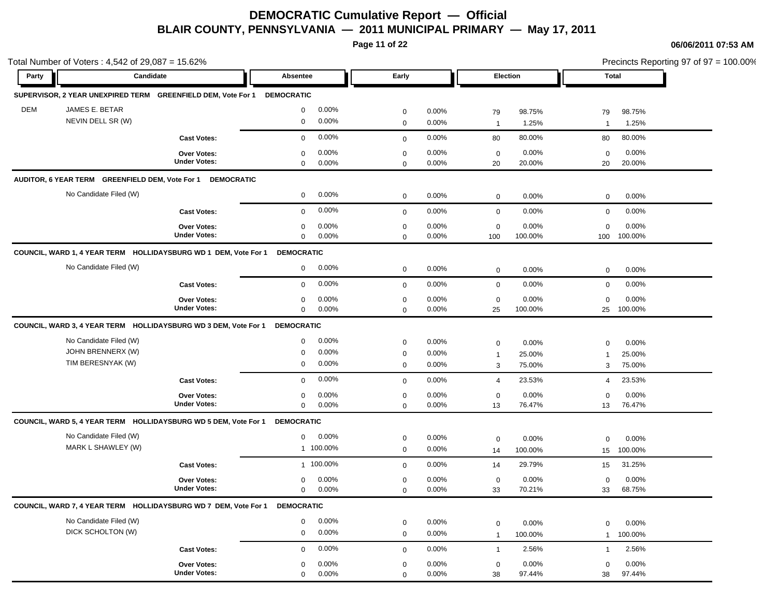**Page 11 of 22**

|                              | Total Number of Voters: 4,542 of 29,087 = 15.62% |                                                                            |                   |           |              |          |                |         |              | Precincts Reporting 97 of 97 = 100.00% |  |  |
|------------------------------|--------------------------------------------------|----------------------------------------------------------------------------|-------------------|-----------|--------------|----------|----------------|---------|--------------|----------------------------------------|--|--|
| Party                        | Candidate                                        |                                                                            | Absentee          |           | Early        |          | Election       |         | <b>Total</b> |                                        |  |  |
|                              |                                                  | SUPERVISOR, 2 YEAR UNEXPIRED TERM GREENFIELD DEM, Vote For 1 DEMOCRATIC    |                   |           |              |          |                |         |              |                                        |  |  |
| <b>DEM</b><br>JAMES E. BETAR |                                                  |                                                                            | $\mathbf 0$       | 0.00%     | $\mathbf 0$  | 0.00%    | 79             | 98.75%  | 79           | 98.75%                                 |  |  |
|                              | NEVIN DELL SR (W)                                |                                                                            | $\mathbf 0$       | 0.00%     | $\mathbf 0$  | 0.00%    | $\overline{1}$ | 1.25%   | $\mathbf{1}$ | 1.25%                                  |  |  |
|                              |                                                  | <b>Cast Votes:</b>                                                         | $\mathbf{0}$      | 0.00%     | $\mathbf{0}$ | 0.00%    | 80             | 80.00%  | 80           | 80.00%                                 |  |  |
|                              |                                                  | Over Votes:                                                                | $\mathbf 0$       | 0.00%     | $\mathbf 0$  | 0.00%    | $\mathbf 0$    | 0.00%   | $\mathbf 0$  | 0.00%                                  |  |  |
|                              |                                                  | <b>Under Votes:</b>                                                        | $\mathbf 0$       | 0.00%     | $\mathbf 0$  | $0.00\%$ | 20             | 20.00%  | 20           | 20.00%                                 |  |  |
|                              |                                                  | AUDITOR, 6 YEAR TERM GREENFIELD DEM, Vote For 1 DEMOCRATIC                 |                   |           |              |          |                |         |              |                                        |  |  |
|                              | No Candidate Filed (W)                           |                                                                            | $\mathbf 0$       | 0.00%     | $\mathbf 0$  | $0.00\%$ | $\mathbf 0$    | 0.00%   | 0            | 0.00%                                  |  |  |
|                              |                                                  | <b>Cast Votes:</b>                                                         | $\mathbf 0$       | 0.00%     | $\mathbf 0$  | 0.00%    | $\mathbf 0$    | 0.00%   | $\mathbf 0$  | 0.00%                                  |  |  |
|                              |                                                  | <b>Over Votes:</b>                                                         | $\mathbf 0$       | 0.00%     | $\mathbf 0$  | $0.00\%$ | $\mathbf 0$    | 0.00%   | $\mathbf 0$  | 0.00%                                  |  |  |
|                              |                                                  | <b>Under Votes:</b>                                                        | $\mathbf 0$       | 0.00%     | $\mathbf 0$  | $0.00\%$ | 100            | 100.00% | 100          | 100.00%                                |  |  |
|                              |                                                  | COUNCIL, WARD 1, 4 YEAR TERM HOLLIDAYSBURG WD 1 DEM, Vote For 1            | <b>DEMOCRATIC</b> |           |              |          |                |         |              |                                        |  |  |
|                              | No Candidate Filed (W)                           |                                                                            | $\mathbf{0}$      | 0.00%     | $\mathbf 0$  | 0.00%    | $\mathbf 0$    | 0.00%   | $\mathbf 0$  | 0.00%                                  |  |  |
|                              |                                                  | <b>Cast Votes:</b>                                                         | $\mathbf{0}$      | 0.00%     | $\mathbf 0$  | 0.00%    | $\mathbf 0$    | 0.00%   | $\mathbf 0$  | 0.00%                                  |  |  |
|                              |                                                  | Over Votes:                                                                | 0                 | 0.00%     | $\mathbf 0$  | 0.00%    | $\mathbf 0$    | 0.00%   | $\mathbf 0$  | 0.00%                                  |  |  |
|                              |                                                  | <b>Under Votes:</b>                                                        | $\mathbf 0$       | 0.00%     | $\mathbf 0$  | 0.00%    | 25             | 100.00% |              | 25 100.00%                             |  |  |
|                              |                                                  | COUNCIL, WARD 3, 4 YEAR TERM HOLLIDAYSBURG WD 3 DEM, Vote For 1 DEMOCRATIC |                   |           |              |          |                |         |              |                                        |  |  |
|                              | No Candidate Filed (W)                           |                                                                            | $\mathbf 0$       | 0.00%     | $\mathbf 0$  | 0.00%    | $\mathbf 0$    | 0.00%   | $\mathbf 0$  | 0.00%                                  |  |  |
|                              | JOHN BRENNERX (W)                                |                                                                            | $\mathbf 0$       | 0.00%     | $\mathbf 0$  | 0.00%    | $\mathbf{1}$   | 25.00%  | $\mathbf{1}$ | 25.00%                                 |  |  |
|                              | TIM BERESNYAK (W)                                |                                                                            | $\mathbf 0$       | 0.00%     | $\mathbf 0$  | $0.00\%$ | 3              | 75.00%  | 3            | 75.00%                                 |  |  |
|                              |                                                  | <b>Cast Votes:</b>                                                         | $\mathbf 0$       | 0.00%     | $\mathbf 0$  | 0.00%    | $\overline{4}$ | 23.53%  | 4            | 23.53%                                 |  |  |
|                              |                                                  | <b>Over Votes:</b>                                                         | 0                 | 0.00%     | $\mathbf 0$  | $0.00\%$ | 0              | 0.00%   | $\mathbf 0$  | 0.00%                                  |  |  |
|                              |                                                  | <b>Under Votes:</b>                                                        | $\mathbf 0$       | 0.00%     | $\mathbf 0$  | 0.00%    | 13             | 76.47%  | 13           | 76.47%                                 |  |  |
|                              |                                                  | COUNCIL, WARD 5, 4 YEAR TERM HOLLIDAYSBURG WD 5 DEM, Vote For 1            | <b>DEMOCRATIC</b> |           |              |          |                |         |              |                                        |  |  |
|                              | No Candidate Filed (W)                           |                                                                            | $\mathbf 0$       | 0.00%     | $\mathbf 0$  | 0.00%    | $\mathbf 0$    | 0.00%   | $\mathbf 0$  | 0.00%                                  |  |  |
|                              | MARK L SHAWLEY (W)                               |                                                                            |                   | 1 100.00% | $\mathbf 0$  | 0.00%    | 14             | 100.00% | 15           | 100.00%                                |  |  |
|                              |                                                  | <b>Cast Votes:</b>                                                         |                   | 1 100.00% | $\mathbf 0$  | 0.00%    | 14             | 29.79%  | 15           | 31.25%                                 |  |  |
|                              |                                                  | <b>Over Votes:</b>                                                         | 0                 | 0.00%     | $\mathbf 0$  | 0.00%    | $\mathbf 0$    | 0.00%   | $\mathbf 0$  | 0.00%                                  |  |  |
|                              |                                                  | <b>Under Votes:</b>                                                        | $\mathbf 0$       | 0.00%     | $\mathbf 0$  | $0.00\%$ | 33             | 70.21%  | 33           | 68.75%                                 |  |  |
|                              |                                                  | COUNCIL, WARD 7, 4 YEAR TERM HOLLIDAYSBURG WD 7 DEM, Vote For 1            | <b>DEMOCRATIC</b> |           |              |          |                |         |              |                                        |  |  |
|                              | No Candidate Filed (W)                           |                                                                            | $\mathbf 0$       | 0.00%     | $\mathbf 0$  | 0.00%    | $\mathbf 0$    | 0.00%   | $\mathbf 0$  | 0.00%                                  |  |  |
|                              | DICK SCHOLTON (W)                                |                                                                            | $\mathbf 0$       | 0.00%     | $\mathbf 0$  | 0.00%    | $\mathbf{1}$   | 100.00% | $\mathbf{1}$ | 100.00%                                |  |  |
|                              |                                                  | <b>Cast Votes:</b>                                                         | $\mathbf 0$       | 0.00%     | $\mathbf 0$  | 0.00%    | $\mathbf{1}$   | 2.56%   | $\mathbf{1}$ | 2.56%                                  |  |  |
|                              |                                                  | Over Votes:                                                                | 0                 | 0.00%     | 0            | 0.00%    | $\mathbf 0$    | 0.00%   | 0            | 0.00%                                  |  |  |
|                              |                                                  | <b>Under Votes:</b>                                                        | $\mathbf 0$       | 0.00%     | $\mathbf 0$  | 0.00%    | 38             | 97.44%  | 38           | 97.44%                                 |  |  |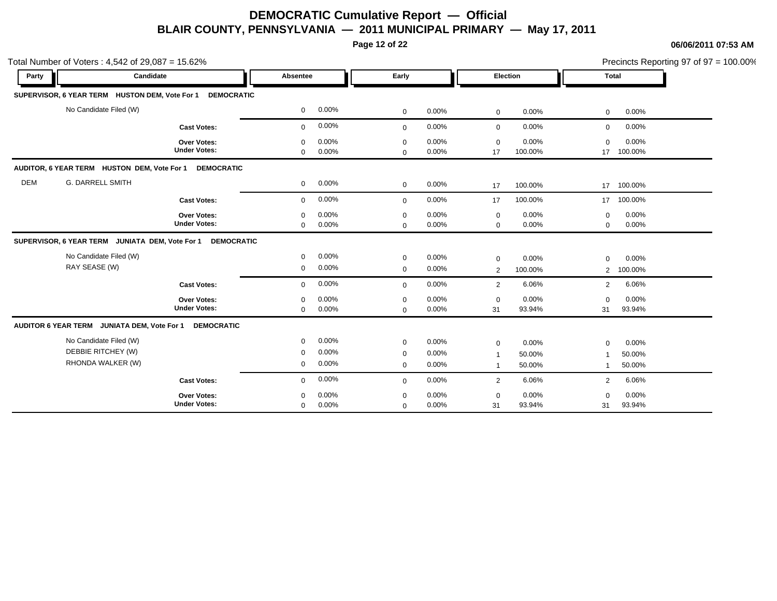**Page 12 of 22**

|            | Total Number of Voters: 4,542 of 29,087 = 15.62%                       |                                    |              |       |                            | Precincts Reporting 97 of 97 = 100.00% |                 |                    |                |                       |  |
|------------|------------------------------------------------------------------------|------------------------------------|--------------|-------|----------------------------|----------------------------------------|-----------------|--------------------|----------------|-----------------------|--|
| Party      | Candidate                                                              |                                    | Absentee     |       | Early                      |                                        | <b>Election</b> |                    | <b>Total</b>   |                       |  |
|            | SUPERVISOR, 6 YEAR TERM HUSTON DEM, Vote For 1                         | <b>DEMOCRATIC</b>                  |              |       |                            |                                        |                 |                    |                |                       |  |
|            | No Candidate Filed (W)                                                 |                                    | $\mathbf 0$  | 0.00% | $\mathbf 0$                | 0.00%                                  | $\mathbf 0$     | 0.00%              | $\mathbf 0$    | 0.00%                 |  |
|            |                                                                        | <b>Cast Votes:</b>                 | $\mathbf{0}$ | 0.00% | $\mathbf 0$                | 0.00%                                  | $\mathbf 0$     | 0.00%              | 0              | 0.00%                 |  |
|            |                                                                        | Over Votes:<br><b>Under Votes:</b> | $\Omega$     | 0.00% | $\mathbf 0$                | 0.00%                                  | $\mathbf 0$     | 0.00%              | $\mathbf 0$    | 0.00%                 |  |
|            |                                                                        |                                    | $\mathbf 0$  | 0.00% | $\mathbf 0$                | 0.00%                                  | 17              | 100.00%            | 17             | 100.00%               |  |
| <b>DEM</b> | AUDITOR, 6 YEAR TERM HUSTON DEM, Vote For 1<br><b>G. DARRELL SMITH</b> | <b>DEMOCRATIC</b>                  | $\mathbf 0$  | 0.00% |                            | 0.00%                                  |                 |                    |                |                       |  |
|            |                                                                        | <b>Cast Votes:</b>                 | $\Omega$     | 0.00% | $\mathbf 0$<br>$\mathbf 0$ | 0.00%                                  | 17<br>17        | 100.00%<br>100.00% | 17             | 17 100.00%<br>100.00% |  |
|            |                                                                        | Over Votes:                        | $\mathbf 0$  | 0.00% | $\mathbf 0$                | 0.00%                                  | $\mathbf 0$     | 0.00%              | $\mathbf 0$    | 0.00%                 |  |
|            |                                                                        | <b>Under Votes:</b>                | $\mathbf 0$  | 0.00% | $\mathbf 0$                | 0.00%                                  | $\mathbf 0$     | 0.00%              | $\mathbf 0$    | 0.00%                 |  |
|            | SUPERVISOR, 6 YEAR TERM JUNIATA DEM, Vote For 1                        | <b>DEMOCRATIC</b>                  |              |       |                            |                                        |                 |                    |                |                       |  |
|            | No Candidate Filed (W)                                                 |                                    | $\mathbf 0$  | 0.00% | $\mathbf 0$                | 0.00%                                  | $\mathbf 0$     | 0.00%              | $\mathbf 0$    | 0.00%                 |  |
|            | RAY SEASE (W)                                                          |                                    | $\mathbf 0$  | 0.00% | $\mathbf 0$                | 0.00%                                  | 2               | 100.00%            | $\overline{2}$ | 100.00%               |  |
|            |                                                                        | <b>Cast Votes:</b>                 | $\mathbf 0$  | 0.00% | $\mathbf 0$                | 0.00%                                  | 2               | 6.06%              | $\overline{2}$ | 6.06%                 |  |
|            |                                                                        | Over Votes:                        | $\Omega$     | 0.00% | $\mathbf 0$                | 0.00%                                  | $\mathbf 0$     | 0.00%              | $\mathbf 0$    | 0.00%                 |  |
|            |                                                                        | <b>Under Votes:</b>                | $\Omega$     | 0.00% | $\mathbf 0$                | 0.00%                                  | 31              | 93.94%             | 31             | 93.94%                |  |
|            | AUDITOR 6 YEAR TERM JUNIATA DEM, Vote For 1                            | <b>DEMOCRATIC</b>                  |              |       |                            |                                        |                 |                    |                |                       |  |
|            | No Candidate Filed (W)                                                 |                                    | $\mathbf 0$  | 0.00% | $\mathbf 0$                | 0.00%                                  | $\mathbf 0$     | 0.00%              | $\mathbf 0$    | 0.00%                 |  |
|            | DEBBIE RITCHEY (W)                                                     |                                    | $\mathbf 0$  | 0.00% | $\mathbf 0$                | 0.00%                                  |                 | 50.00%             | 1              | 50.00%                |  |
|            | RHONDA WALKER (W)                                                      |                                    | $\mathbf 0$  | 0.00% | $\mathbf 0$                | 0.00%                                  | -1              | 50.00%             | -1             | 50.00%                |  |
|            |                                                                        | <b>Cast Votes:</b>                 | $\mathbf 0$  | 0.00% | $\mathbf 0$                | 0.00%                                  | $\overline{2}$  | 6.06%              | 2              | 6.06%                 |  |
|            |                                                                        | Over Votes:                        | $\Omega$     | 0.00% | $\mathbf 0$                | 0.00%                                  | $\mathbf 0$     | 0.00%              | $\Omega$       | 0.00%                 |  |
|            |                                                                        | <b>Under Votes:</b>                | $\mathbf 0$  | 0.00% | $\mathbf 0$                | 0.00%                                  | 31              | 93.94%             | 31             | 93.94%                |  |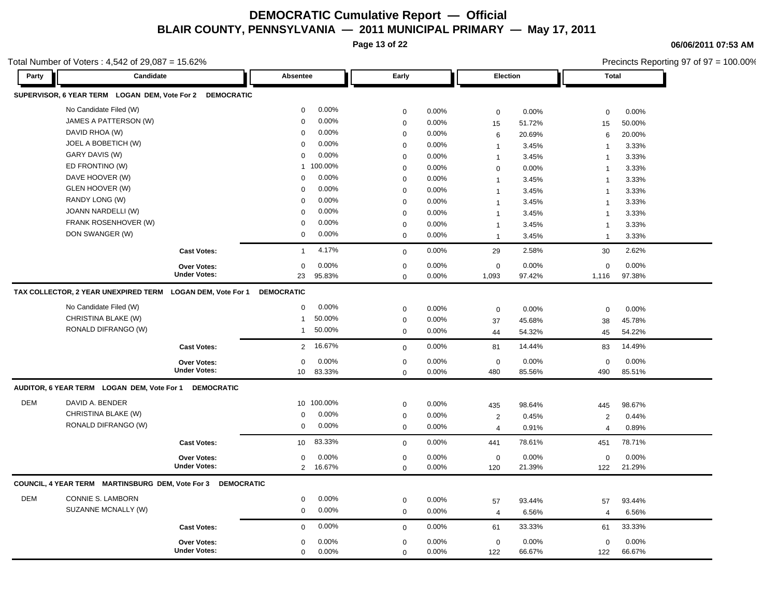**Page 13 of 22**

**06/06/2011 07:53 AM**

|            | Total Number of Voters: 4,542 of 29,087 = 15.62%            |                     |                   |            |                            |       |                      | Precincts Reporting 97 of 97 = 100.00% |                |                 |  |  |
|------------|-------------------------------------------------------------|---------------------|-------------------|------------|----------------------------|-------|----------------------|----------------------------------------|----------------|-----------------|--|--|
| Party      | Candidate                                                   |                     | Absentee          |            | Early                      |       | <b>Election</b>      |                                        |                | <b>Total</b>    |  |  |
|            | SUPERVISOR, 6 YEAR TERM LOGAN DEM, Vote For 2 DEMOCRATIC    |                     |                   |            |                            |       |                      |                                        |                |                 |  |  |
|            | No Candidate Filed (W)                                      |                     | $\mathbf{0}$      | 0.00%      | 0                          | 0.00% | $\mathbf 0$          | 0.00%                                  | 0              | 0.00%           |  |  |
|            | JAMES A PATTERSON (W)                                       |                     | $\mathbf 0$       | 0.00%      | 0                          | 0.00% | 15                   | 51.72%                                 | 15             | 50.00%          |  |  |
|            | DAVID RHOA (W)                                              |                     | $\Omega$          | 0.00%      | $\mathbf 0$                | 0.00% | 6                    | 20.69%                                 | 6              | 20.00%          |  |  |
|            | JOEL A BOBETICH (W)                                         |                     | 0                 | 0.00%      | $\mathbf 0$                | 0.00% | $\mathbf{1}$         | 3.45%                                  | $\overline{1}$ | 3.33%           |  |  |
|            | GARY DAVIS (W)                                              |                     | $\mathbf 0$       | 0.00%      | $\mathbf 0$                | 0.00% | $\mathbf{1}$         | 3.45%                                  | $\overline{1}$ | 3.33%           |  |  |
|            | ED FRONTINO (W)                                             |                     | 1                 | 100.00%    | 0                          | 0.00% | $\mathbf 0$          | 0.00%                                  | $\overline{1}$ | 3.33%           |  |  |
|            | DAVE HOOVER (W)                                             |                     | $\Omega$          | 0.00%      | 0                          | 0.00% | $\mathbf{1}$         | 3.45%                                  | $\overline{1}$ | 3.33%           |  |  |
|            | GLEN HOOVER (W)                                             |                     | $\Omega$          | 0.00%      | $\mathbf 0$                | 0.00% | $\mathbf 1$          | 3.45%                                  | $\overline{1}$ | 3.33%           |  |  |
|            | RANDY LONG (W)                                              |                     | $\mathbf 0$       | 0.00%      | 0                          | 0.00% | $\overline{1}$       | 3.45%                                  | 1              | 3.33%           |  |  |
|            | JOANN NARDELLI (W)                                          |                     | $\Omega$          | 0.00%      | $\mathbf 0$                | 0.00% | $\mathbf{1}$         | 3.45%                                  | $\overline{1}$ | 3.33%           |  |  |
|            | FRANK ROSENHOVER (W)                                        |                     | $\mathbf 0$       | 0.00%      | $\mathsf{O}\xspace$        | 0.00% | $\mathbf{1}$         | 3.45%                                  | $\overline{1}$ | 3.33%           |  |  |
|            | DON SWANGER (W)                                             |                     | 0                 | 0.00%      | 0                          | 0.00% | $\mathbf{1}$         | 3.45%                                  | $\overline{1}$ | 3.33%           |  |  |
|            |                                                             | <b>Cast Votes:</b>  | $\mathbf{1}$      | 4.17%      | $\mathbf 0$                | 0.00% | 29                   | 2.58%                                  | 30             | 2.62%           |  |  |
|            |                                                             | <b>Over Votes:</b>  | $\mathbf 0$       | 0.00%      | $\mathbf 0$                | 0.00% | $\mathbf 0$          | 0.00%                                  | 0              | 0.00%           |  |  |
|            |                                                             | <b>Under Votes:</b> | 23                | 95.83%     | $\Omega$                   | 0.00% | 1,093                | 97.42%                                 | 1,116          | 97.38%          |  |  |
|            | TAX COLLECTOR, 2 YEAR UNEXPIRED TERM LOGAN DEM, Vote For 1  |                     | <b>DEMOCRATIC</b> |            |                            |       |                      |                                        |                |                 |  |  |
|            | No Candidate Filed (W)                                      |                     | $\mathbf 0$       | 0.00%      | 0                          | 0.00% | $\mathbf 0$          | 0.00%                                  | $\mathbf 0$    | 0.00%           |  |  |
|            | CHRISTINA BLAKE (W)                                         |                     | 1                 | 50.00%     | $\mathbf 0$                | 0.00% | 37                   | 45.68%                                 | 38             | 45.78%          |  |  |
|            | RONALD DIFRANGO (W)                                         |                     | 1                 | 50.00%     | $\mathbf 0$                | 0.00% | 44                   | 54.32%                                 | 45             | 54.22%          |  |  |
|            |                                                             | <b>Cast Votes:</b>  | $\overline{2}$    | 16.67%     | $\mathbf 0$                | 0.00% | 81                   | 14.44%                                 | 83             | 14.49%          |  |  |
|            |                                                             | Over Votes:         | $\mathbf 0$       | 0.00%      | $\mathbf 0$                | 0.00% | $\mathbf 0$          | 0.00%                                  | $\mathbf 0$    | 0.00%           |  |  |
|            |                                                             | <b>Under Votes:</b> | 10                | 83.33%     | $\mathbf 0$                | 0.00% | 480                  | 85.56%                                 | 490            | 85.51%          |  |  |
|            | AUDITOR, 6 YEAR TERM LOGAN DEM, Vote For 1                  | <b>DEMOCRATIC</b>   |                   |            |                            |       |                      |                                        |                |                 |  |  |
| DEM        | DAVID A. BENDER                                             |                     |                   | 10 100.00% | $\mathbf 0$                | 0.00% | 435                  | 98.64%                                 | 445            | 98.67%          |  |  |
|            | CHRISTINA BLAKE (W)                                         |                     | $\mathbf 0$       | 0.00%      | $\mathbf 0$                | 0.00% | 2                    | 0.45%                                  | 2              | 0.44%           |  |  |
|            | RONALD DIFRANGO (W)                                         |                     | 0                 | 0.00%      | $\mathbf 0$                | 0.00% | 4                    | 0.91%                                  | $\overline{4}$ | 0.89%           |  |  |
|            |                                                             | <b>Cast Votes:</b>  | 10                | 83.33%     | $\mathbf 0$                | 0.00% | 441                  | 78.61%                                 | 451            | 78.71%          |  |  |
|            |                                                             | Over Votes:         | 0                 | 0.00%      | 0                          | 0.00% | $\mathbf 0$          | 0.00%                                  | $\mathbf 0$    | 0.00%           |  |  |
|            |                                                             | <b>Under Votes:</b> | $2^{\circ}$       | 16.67%     | $\mathbf 0$                | 0.00% | 120                  | 21.39%                                 | 122            | 21.29%          |  |  |
|            | COUNCIL, 4 YEAR TERM MARTINSBURG DEM, Vote For 3 DEMOCRATIC |                     |                   |            |                            |       |                      |                                        |                |                 |  |  |
| <b>DEM</b> | <b>CONNIE S. LAMBORN</b>                                    |                     | 0                 | 0.00%      |                            | 0.00% |                      |                                        |                |                 |  |  |
|            | SUZANNE MCNALLY (W)                                         |                     | $\mathbf 0$       | 0.00%      | $\mathbf 0$<br>$\mathbf 0$ | 0.00% | 57<br>$\overline{4}$ | 93.44%<br>6.56%                        | 57             | 93.44%<br>6.56% |  |  |
|            |                                                             |                     |                   |            |                            |       |                      |                                        | 4              |                 |  |  |
|            |                                                             | <b>Cast Votes:</b>  | $\mathbf 0$       | 0.00%      | $\mathbf 0$                | 0.00% | 61                   | 33.33%                                 | 61             | 33.33%          |  |  |
|            |                                                             | <b>Over Votes:</b>  | 0                 | 0.00%      | $\mathbf 0$                | 0.00% | $\mathbf 0$          | 0.00%                                  | $\mathbf 0$    | 0.00%           |  |  |
|            |                                                             | <b>Under Votes:</b> | 0                 | 0.00%      | $\mathbf 0$                | 0.00% | 122                  | 66.67%                                 | 122            | 66.67%          |  |  |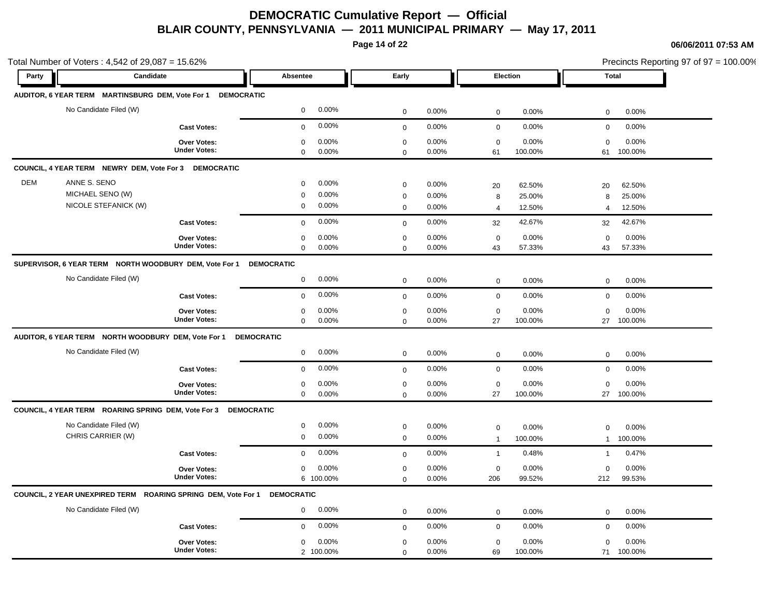**Page 14 of 22**

|            | Total Number of Voters: 4,542 of 29,087 = 15.62%                         |                     |                      |              |       |                |          | Precincts Reporting 97 of 97 = 100.00%<br><b>Total</b> |         |  |
|------------|--------------------------------------------------------------------------|---------------------|----------------------|--------------|-------|----------------|----------|--------------------------------------------------------|---------|--|
| Party      | Candidate                                                                |                     | Absentee             | Early        |       |                | Election |                                                        |         |  |
|            | AUDITOR, 6 YEAR TERM MARTINSBURG DEM, Vote For 1                         | <b>DEMOCRATIC</b>   |                      |              |       |                |          |                                                        |         |  |
|            | No Candidate Filed (W)                                                   |                     | 0.00%<br>$\mathbf 0$ | $\mathbf 0$  | 0.00% | $\mathbf 0$    | 0.00%    | 0                                                      | 0.00%   |  |
|            |                                                                          | <b>Cast Votes:</b>  | 0.00%<br>$\mathbf 0$ | $\mathsf 0$  | 0.00% | $\mathbf 0$    | 0.00%    | $\mathbf 0$                                            | 0.00%   |  |
|            |                                                                          | <b>Over Votes:</b>  | 0.00%<br>0           | $\pmb{0}$    | 0.00% | $\mathbf 0$    | 0.00%    | $\mathbf 0$                                            | 0.00%   |  |
|            |                                                                          | <b>Under Votes:</b> | 0.00%<br>$\mathbf 0$ | $\mathbf 0$  | 0.00% | 61             | 100.00%  | 61                                                     | 100.00% |  |
|            | COUNCIL, 4 YEAR TERM NEWRY DEM, Vote For 3 DEMOCRATIC                    |                     |                      |              |       |                |          |                                                        |         |  |
| <b>DEM</b> | ANNE S. SENO                                                             |                     | 0.00%<br>$\mathbf 0$ | $\mathbf 0$  | 0.00% | 20             | 62.50%   | 20                                                     | 62.50%  |  |
|            | MICHAEL SENO (W)                                                         |                     | 0.00%<br>$\mathbf 0$ | $\mathbf 0$  | 0.00% | 8              | 25.00%   | 8                                                      | 25.00%  |  |
|            | NICOLE STEFANICK (W)                                                     |                     | 0.00%<br>$\mathbf 0$ | $\mathbf 0$  | 0.00% | $\overline{4}$ | 12.50%   | $\overline{4}$                                         | 12.50%  |  |
|            |                                                                          | <b>Cast Votes:</b>  | 0.00%<br>$\mathbf 0$ | $\mathbf 0$  | 0.00% | 32             | 42.67%   | 32                                                     | 42.67%  |  |
|            |                                                                          | Over Votes:         | 0.00%<br>$\mathbf 0$ | $\mathbf 0$  | 0.00% | $\mathbf 0$    | 0.00%    | $\mathbf 0$                                            | 0.00%   |  |
|            |                                                                          | <b>Under Votes:</b> | $\mathbf 0$<br>0.00% | $\mathbf 0$  | 0.00% | 43             | 57.33%   | 43                                                     | 57.33%  |  |
|            | SUPERVISOR, 6 YEAR TERM NORTH WOODBURY DEM, Vote For 1                   |                     | <b>DEMOCRATIC</b>    |              |       |                |          |                                                        |         |  |
|            | No Candidate Filed (W)                                                   |                     | 0.00%<br>$\mathbf 0$ | $\mathbf 0$  | 0.00% | $\mathbf 0$    | 0.00%    | $\mathbf 0$                                            | 0.00%   |  |
|            |                                                                          | <b>Cast Votes:</b>  | 0.00%<br>$\mathbf 0$ | $\mathbf{0}$ | 0.00% | $\mathsf 0$    | 0.00%    | $\mathbf 0$                                            | 0.00%   |  |
|            |                                                                          | Over Votes:         | 0.00%<br>$\mathbf 0$ | $\mathbf 0$  | 0.00% | $\mathbf 0$    | 0.00%    | $\mathbf 0$                                            | 0.00%   |  |
|            |                                                                          | <b>Under Votes:</b> | $\mathbf 0$<br>0.00% | $\mathbf 0$  | 0.00% | 27             | 100.00%  | 27                                                     | 100.00% |  |
|            | AUDITOR, 6 YEAR TERM NORTH WOODBURY DEM, Vote For 1                      |                     | <b>DEMOCRATIC</b>    |              |       |                |          |                                                        |         |  |
|            | No Candidate Filed (W)                                                   |                     | 0.00%<br>$\mathbf 0$ | $\mathbf 0$  | 0.00% | $\mathbf 0$    | 0.00%    | $\mathbf 0$                                            | 0.00%   |  |
|            |                                                                          | <b>Cast Votes:</b>  | 0.00%<br>$\mathbf 0$ | $\mathbf 0$  | 0.00% | $\mathbf 0$    | 0.00%    | $\mathbf 0$                                            | 0.00%   |  |
|            |                                                                          | <b>Over Votes:</b>  | 0.00%<br>$\mathbf 0$ | $\mathbf 0$  | 0.00% | $\mathbf 0$    | 0.00%    | $\mathbf 0$                                            | 0.00%   |  |
|            |                                                                          | <b>Under Votes:</b> | 0.00%<br>$\mathbf 0$ | $\mathbf 0$  | 0.00% | 27             | 100.00%  | 27                                                     | 100.00% |  |
|            | COUNCIL, 4 YEAR TERM ROARING SPRING DEM, Vote For 3 DEMOCRATIC           |                     |                      |              |       |                |          |                                                        |         |  |
|            | No Candidate Filed (W)                                                   |                     | 0.00%<br>$\mathbf 0$ | $\mathbf 0$  | 0.00% | $\mathbf 0$    | 0.00%    | 0                                                      | 0.00%   |  |
|            | CHRIS CARRIER (W)                                                        |                     | 0.00%<br>$\mathbf 0$ | $\mathbf 0$  | 0.00% | $\overline{1}$ | 100.00%  | $\mathbf{1}$                                           | 100.00% |  |
|            |                                                                          | <b>Cast Votes:</b>  | 0.00%<br>$\mathbf 0$ | $\mathbf 0$  | 0.00% | $\mathbf{1}$   | 0.48%    | $\mathbf{1}$                                           | 0.47%   |  |
|            |                                                                          | <b>Over Votes:</b>  | 0.00%<br>$\mathbf 0$ | $\mathbf 0$  | 0.00% | $\mathbf 0$    | 0.00%    | $\mathbf 0$                                            | 0.00%   |  |
|            |                                                                          | <b>Under Votes:</b> | 6 100.00%            | $\mathbf 0$  | 0.00% | 206            | 99.52%   | 212                                                    | 99.53%  |  |
|            | COUNCIL, 2 YEAR UNEXPIRED TERM ROARING SPRING DEM, Vote For 1 DEMOCRATIC |                     |                      |              |       |                |          |                                                        |         |  |
|            | No Candidate Filed (W)                                                   |                     | 0.00%<br>$\mathbf 0$ | $\mathbf 0$  | 0.00% | $\mathbf 0$    | 0.00%    | $\mathbf 0$                                            | 0.00%   |  |
|            |                                                                          | <b>Cast Votes:</b>  | 0.00%<br>$\mathbf 0$ | $\mathbf 0$  | 0.00% | $\mathbf 0$    | 0.00%    | $\mathbf 0$                                            | 0.00%   |  |
|            |                                                                          | Over Votes:         | 0.00%<br>$\mathbf 0$ | $\mathbf 0$  | 0.00% | $\mathbf 0$    | 0.00%    | $\mathbf 0$                                            | 0.00%   |  |
|            |                                                                          | <b>Under Votes:</b> | 2 100.00%            | $\mathbf 0$  | 0.00% | 69             | 100.00%  | 71                                                     | 100.00% |  |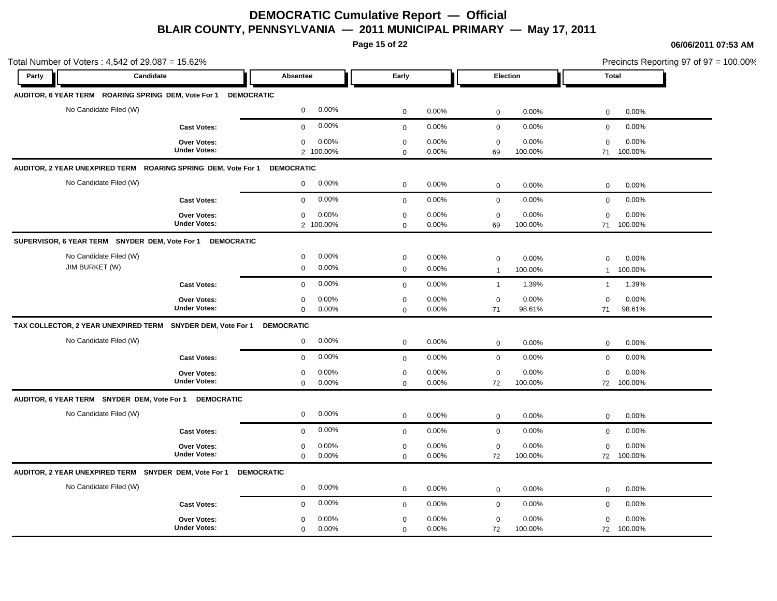**Page 15 of 22**

| Total Number of Voters: 4,542 of 29,087 = 15.62% |                                                                  |                                              |                            |                      |                               |                  | Precincts Reporting 97 of 97 = 100.00% |                     |
|--------------------------------------------------|------------------------------------------------------------------|----------------------------------------------|----------------------------|----------------------|-------------------------------|------------------|----------------------------------------|---------------------|
| Party                                            | Candidate                                                        | <b>Absentee</b>                              | Early                      |                      | Election                      |                  | <b>Total</b>                           |                     |
|                                                  | AUDITOR, 6 YEAR TERM ROARING SPRING DEM, Vote For 1 DEMOCRATIC   |                                              |                            |                      |                               |                  |                                        |                     |
|                                                  | No Candidate Filed (W)                                           | $\mathbf 0$<br>0.00%                         | $\mathbf 0$                | 0.00%                | $\mathbf 0$                   | 0.00%            | $\mathbf 0$                            | 0.00%               |
|                                                  | <b>Cast Votes:</b>                                               | 0.00%<br>$\mathbf 0$                         | $\mathbf 0$                | 0.00%                | $\mathbf 0$                   | 0.00%            | $\mathbf 0$                            | 0.00%               |
|                                                  | Over Votes:<br><b>Under Votes:</b>                               | 0.00%<br>$\mathbf 0$<br>2 100.00%            | $\pmb{0}$<br>$\mathbf 0$   | 0.00%<br>0.00%       | $\pmb{0}$<br>69               | 0.00%<br>100.00% | $\mathbf 0$<br>71                      | 0.00%<br>100.00%    |
|                                                  | AUDITOR, 2 YEAR UNEXPIRED TERM ROARING SPRING DEM, Vote For 1    | <b>DEMOCRATIC</b>                            |                            |                      |                               |                  |                                        |                     |
|                                                  | No Candidate Filed (W)                                           | 0.00%<br>$\overline{0}$                      | $\mathbf 0$                | 0.00%                | $\mathbf 0$                   | 0.00%            | $\mathbf 0$                            | 0.00%               |
|                                                  | <b>Cast Votes:</b>                                               | 0.00%<br>$\mathbf 0$                         | $\mathbf 0$                | 0.00%                | $\pmb{0}$                     | 0.00%            | $\mathbf 0$                            | 0.00%               |
|                                                  | Over Votes:<br><b>Under Votes:</b>                               | $\mathbf 0$<br>0.00%<br>2 100.00%            | $\mathbf 0$<br>$\mathbf 0$ | $0.00\%$<br>$0.00\%$ | $\mathbf 0$<br>69             | 0.00%<br>100.00% | $\mathbf 0$<br>71                      | 0.00%<br>100.00%    |
|                                                  | SUPERVISOR, 6 YEAR TERM SNYDER DEM, Vote For 1 DEMOCRATIC        |                                              |                            |                      |                               |                  |                                        |                     |
| JIM BURKET (W)                                   | No Candidate Filed (W)                                           | 0.00%<br>$\mathbf 0$<br>0.00%<br>$\mathbf 0$ | $\mathbf 0$<br>$\mathbf 0$ | 0.00%<br>0.00%       | $\mathbf 0$<br>$\overline{1}$ | 0.00%<br>100.00% | $\mathbf 0$<br>$\mathbf{1}$            | 0.00%<br>100.00%    |
|                                                  | <b>Cast Votes:</b>                                               | 0.00%<br>$\mathbf 0$                         | $\mathbf 0$                | 0.00%                | $\overline{1}$                | 1.39%            | $\overline{1}$                         | 1.39%               |
|                                                  | Over Votes:<br><b>Under Votes:</b>                               | 0.00%<br>$\mathbf 0$<br>$\mathbf 0$<br>0.00% | $\mathbf 0$<br>$\mathbf 0$ | 0.00%<br>0.00%       | $\mathbf 0$<br>71             | 0.00%<br>98.61%  | 0<br>71                                | 0.00%<br>98.61%     |
|                                                  | TAX COLLECTOR, 2 YEAR UNEXPIRED TERM SNYDER DEM, Vote For 1      | <b>DEMOCRATIC</b>                            |                            |                      |                               |                  |                                        |                     |
|                                                  | No Candidate Filed (W)                                           | 0.00%<br>$\mathbf 0$                         | $\mathbf 0$                | 0.00%                | $\mathbf 0$                   | 0.00%            | $\mathbf 0$                            | 0.00%               |
|                                                  | <b>Cast Votes:</b>                                               | 0.00%<br>$\mathbf 0$                         | $\mathbf{0}$               | $0.00\%$             | $\mathbf 0$                   | 0.00%            | $\mathbf 0$                            | 0.00%               |
|                                                  | Over Votes:<br><b>Under Votes:</b>                               | 0.00%<br>$\mathbf 0$<br>$\mathbf 0$<br>0.00% | $\mathbf 0$<br>$\Omega$    | 0.00%<br>0.00%       | $\mathbf 0$<br>72             | 0.00%<br>100.00% | $\mathbf 0$                            | 0.00%<br>72 100.00% |
|                                                  | AUDITOR, 6 YEAR TERM SNYDER DEM, Vote For 1<br><b>DEMOCRATIC</b> |                                              |                            |                      |                               |                  |                                        |                     |
|                                                  | No Candidate Filed (W)                                           | 0.00%<br>0                                   | $\mathbf 0$                | 0.00%                | $\mathbf 0$                   | 0.00%            | $\mathbf 0$                            | 0.00%               |
|                                                  | <b>Cast Votes:</b>                                               | 0.00%<br>$\mathbf 0$                         | $\mathbf 0$                | 0.00%                | $\mathbf 0$                   | 0.00%            | $\mathbf 0$                            | 0.00%               |
|                                                  | Over Votes:<br><b>Under Votes:</b>                               | 0.00%<br>0<br>$\mathbf 0$<br>0.00%           | $\mathbf 0$<br>$\mathbf 0$ | 0.00%<br>0.00%       | $\mathbf 0$<br>72             | 0.00%<br>100.00% | $\mathbf 0$                            | 0.00%<br>72 100.00% |
|                                                  | AUDITOR, 2 YEAR UNEXPIRED TERM SNYDER DEM, Vote For 1            | <b>DEMOCRATIC</b>                            |                            |                      |                               |                  |                                        |                     |
|                                                  | No Candidate Filed (W)                                           | 0.00%<br>$\mathbf 0$                         | $\mathbf 0$                | 0.00%                | 0                             | 0.00%            | $\mathbf 0$                            | 0.00%               |
|                                                  | <b>Cast Votes:</b>                                               | 0.00%<br>$\mathbf 0$                         | $\mathbf 0$                | 0.00%                | $\mathbf 0$                   | 0.00%            | $\mathbf 0$                            | 0.00%               |
|                                                  | Over Votes:<br><b>Under Votes:</b>                               | 0.00%<br>$\mathbf 0$<br>$\mathbf 0$<br>0.00% | $\mathbf 0$<br>0           | 0.00%<br>0.00%       | $\mathbf 0$<br>72             | 0.00%<br>100.00% | $\mathbf 0$<br>72                      | 0.00%<br>100.00%    |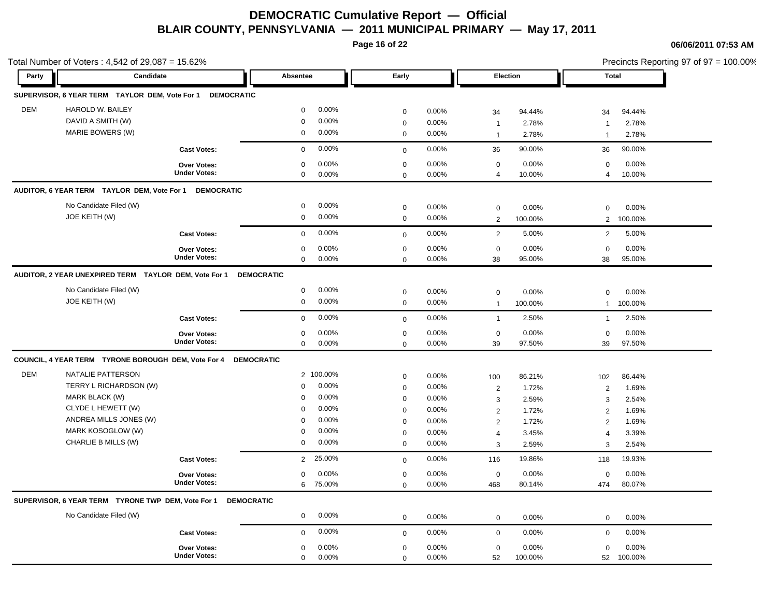**Page 16 of 22**

|       | Total Number of Voters: 4,542 of 29,087 = 15.62%                                                                                   |                                                          |                                                                                                                                   |                                                                                |                                                    |                                                                     |                                                     | Precincts Reporting 97 of 97 = 100.00%                              |                                                     |  |
|-------|------------------------------------------------------------------------------------------------------------------------------------|----------------------------------------------------------|-----------------------------------------------------------------------------------------------------------------------------------|--------------------------------------------------------------------------------|----------------------------------------------------|---------------------------------------------------------------------|-----------------------------------------------------|---------------------------------------------------------------------|-----------------------------------------------------|--|
| Party | Candidate                                                                                                                          |                                                          | Absentee                                                                                                                          | Early                                                                          |                                                    | Election                                                            |                                                     | <b>Total</b>                                                        |                                                     |  |
|       | SUPERVISOR, 6 YEAR TERM TAYLOR DEM, Vote For 1 DEMOCRATIC                                                                          |                                                          |                                                                                                                                   |                                                                                |                                                    |                                                                     |                                                     |                                                                     |                                                     |  |
| DEM   | HAROLD W. BAILEY<br>DAVID A SMITH (W)<br>MARIE BOWERS (W)                                                                          |                                                          | 0.00%<br>$\mathbf 0$<br>0.00%<br>$\mathbf 0$<br>0.00%<br>$\mathbf 0$                                                              | $\mathbf 0$<br>$\mathbf 0$<br>$\mathsf 0$                                      | 0.00%<br>0.00%<br>0.00%                            | 34<br>$\overline{1}$<br>$\overline{1}$                              | 94.44%<br>2.78%<br>2.78%                            | 34<br>$\overline{1}$<br>$\overline{1}$                              | 94.44%<br>2.78%<br>2.78%                            |  |
|       |                                                                                                                                    | <b>Cast Votes:</b>                                       | 0.00%<br>$\mathbf 0$                                                                                                              | $\mathsf 0$                                                                    | 0.00%                                              | 36                                                                  | 90.00%                                              | 36                                                                  | 90.00%                                              |  |
|       |                                                                                                                                    | <b>Over Votes:</b><br><b>Under Votes:</b>                | 0.00%<br>$\mathbf 0$<br>$\mathbf 0$<br>0.00%                                                                                      | $\mathbf 0$<br>$\mathbf 0$                                                     | 0.00%<br>0.00%                                     | $\mathbf 0$<br>$\overline{4}$                                       | 0.00%<br>10.00%                                     | 0<br>$\overline{4}$                                                 | 0.00%<br>10.00%                                     |  |
|       | AUDITOR, 6 YEAR TERM TAYLOR DEM, Vote For 1 DEMOCRATIC                                                                             |                                                          |                                                                                                                                   |                                                                                |                                                    |                                                                     |                                                     |                                                                     |                                                     |  |
|       | No Candidate Filed (W)<br>JOE KEITH (W)                                                                                            |                                                          | 0.00%<br>0<br>0.00%<br>$\mathbf 0$                                                                                                | $\mathbf 0$<br>$\mathbf 0$                                                     | 0.00%<br>0.00%                                     | $\mathbf 0$<br>$\overline{2}$                                       | 0.00%<br>100.00%                                    | $\Omega$<br>$\overline{2}$                                          | 0.00%<br>100.00%                                    |  |
|       |                                                                                                                                    | <b>Cast Votes:</b>                                       | 0.00%<br>$\mathbf 0$                                                                                                              | $\mathbf 0$                                                                    | 0.00%                                              | $\overline{2}$                                                      | 5.00%                                               | $\overline{2}$                                                      | 5.00%                                               |  |
|       |                                                                                                                                    | <b>Over Votes:</b><br><b>Under Votes:</b>                | 0.00%<br>$\mathbf 0$<br>0.00%<br>$\mathbf 0$                                                                                      | $\pmb{0}$<br>$\mathbf 0$                                                       | 0.00%<br>0.00%                                     | $\mathbf 0$<br>38                                                   | 0.00%<br>95.00%                                     | $\mathbf 0$<br>38                                                   | 0.00%<br>95.00%                                     |  |
|       | AUDITOR, 2 YEAR UNEXPIRED TERM TAYLOR DEM, Vote For 1                                                                              |                                                          | <b>DEMOCRATIC</b>                                                                                                                 |                                                                                |                                                    |                                                                     |                                                     |                                                                     |                                                     |  |
|       | No Candidate Filed (W)<br>JOE KEITH (W)                                                                                            |                                                          | 0.00%<br>0<br>$\mathbf 0$<br>0.00%                                                                                                | $\mathbf 0$<br>$\mathsf 0$                                                     | 0.00%<br>0.00%                                     | $\mathbf 0$<br>$\overline{1}$                                       | 0.00%<br>100.00%                                    | $\mathbf 0$<br>$\mathbf{1}$                                         | 0.00%<br>100.00%                                    |  |
|       |                                                                                                                                    | <b>Cast Votes:</b>                                       | 0.00%<br>$\mathbf 0$                                                                                                              | $\mathbf{0}$                                                                   | 0.00%                                              | $\mathbf{1}$                                                        | 2.50%                                               | $\mathbf{1}$                                                        | 2.50%                                               |  |
|       |                                                                                                                                    | Over Votes:<br><b>Under Votes:</b>                       | 0.00%<br>$\mathbf 0$<br>0.00%<br>$\mathbf 0$                                                                                      | $\mathbf 0$<br>$\mathbf 0$                                                     | 0.00%<br>0.00%                                     | $\mathbf 0$<br>39                                                   | 0.00%<br>97.50%                                     | $\mathbf 0$<br>39                                                   | 0.00%<br>97.50%                                     |  |
|       | COUNCIL, 4 YEAR TERM TYRONE BOROUGH DEM, Vote For 4                                                                                |                                                          | <b>DEMOCRATIC</b>                                                                                                                 |                                                                                |                                                    |                                                                     |                                                     |                                                                     |                                                     |  |
| DEM   | NATALIE PATTERSON<br>TERRY L RICHARDSON (W)<br>MARK BLACK (W)<br>CLYDE L HEWETT (W)<br>ANDREA MILLS JONES (W)<br>MARK KOSOGLOW (W) |                                                          | 2 100.00%<br>0.00%<br>$\mathbf 0$<br>0.00%<br>$\mathbf 0$<br>0.00%<br>$\mathbf 0$<br>0.00%<br>$\mathbf 0$<br>0.00%<br>$\mathbf 0$ | $\mathbf 0$<br>$\pmb{0}$<br>$\mathbf 0$<br>$\pmb{0}$<br>$\pmb{0}$<br>$\pmb{0}$ | 0.00%<br>0.00%<br>0.00%<br>0.00%<br>0.00%<br>0.00% | 100<br>$\overline{2}$<br>3<br>$\overline{2}$<br>$\overline{2}$<br>4 | 86.21%<br>1.72%<br>2.59%<br>1.72%<br>1.72%<br>3.45% | 102<br>$\overline{2}$<br>3<br>$\overline{2}$<br>2<br>$\overline{4}$ | 86.44%<br>1.69%<br>2.54%<br>1.69%<br>1.69%<br>3.39% |  |
|       | CHARLIE B MILLS (W)                                                                                                                |                                                          | $\mathbf 0$<br>0.00%                                                                                                              | $\mathbf 0$                                                                    | 0.00%                                              | 3                                                                   | 2.59%                                               | 3                                                                   | 2.54%                                               |  |
|       |                                                                                                                                    | <b>Cast Votes:</b><br>Over Votes:<br><b>Under Votes:</b> | 25.00%<br>$\overline{2}$<br>0.00%<br>$\mathbf 0$<br>6<br>75.00%                                                                   | $\mathsf 0$<br>$\pmb{0}$<br>$\mathbf 0$                                        | 0.00%<br>0.00%<br>0.00%                            | 116<br>$\mathbf 0$<br>468                                           | 19.86%<br>0.00%<br>80.14%                           | 118<br>$\mathbf 0$<br>474                                           | 19.93%<br>0.00%<br>80.07%                           |  |
|       | SUPERVISOR, 6 YEAR TERM TYRONE TWP DEM, Vote For 1                                                                                 | <b>DEMOCRATIC</b>                                        |                                                                                                                                   |                                                                                |                                                    |                                                                     |                                                     |                                                                     |                                                     |  |
|       | No Candidate Filed (W)                                                                                                             |                                                          | 0.00%<br>$\mathbf 0$                                                                                                              | $\mathbf 0$                                                                    | 0.00%                                              | $\mathbf 0$                                                         | 0.00%                                               | 0                                                                   | 0.00%                                               |  |
|       |                                                                                                                                    | <b>Cast Votes:</b>                                       | 0.00%<br>$\mathbf 0$                                                                                                              | $\mathbf 0$                                                                    | 0.00%                                              | $\mathbf 0$                                                         | 0.00%                                               | $\mathbf 0$                                                         | 0.00%                                               |  |
|       |                                                                                                                                    | Over Votes:<br><b>Under Votes:</b>                       | 0.00%<br>$\mathbf 0$<br>0.00%<br>$\mathbf 0$                                                                                      | $\mathbf 0$<br>$\mathsf 0$                                                     | 0.00%<br>0.00%                                     | $\mathbf 0$<br>52                                                   | 0.00%<br>100.00%                                    | $\mathbf 0$<br>52                                                   | 0.00%<br>100.00%                                    |  |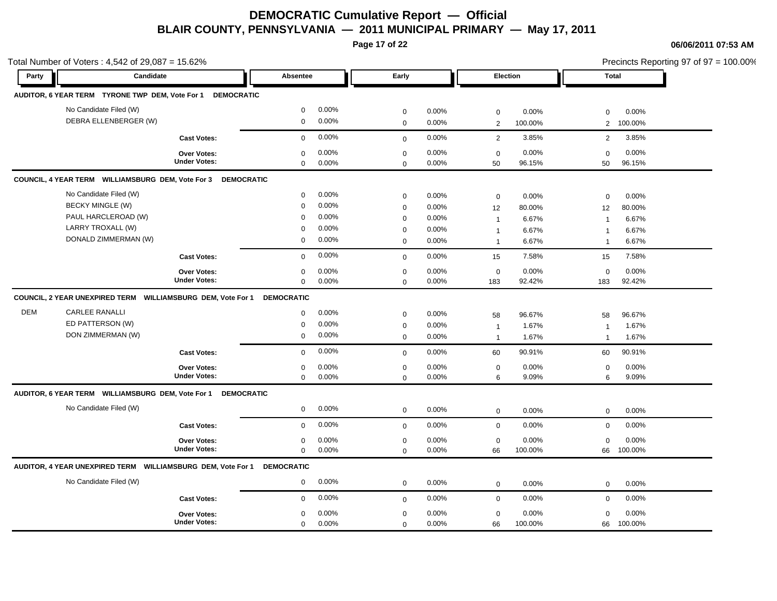**Page 17 of 22**

|            | Total Number of Voters: 4,542 of 29,087 = 15.62%             |                     |                   |       |             |       |                | Precincts Reporting 97 of 97 = 100.00% |                |         |
|------------|--------------------------------------------------------------|---------------------|-------------------|-------|-------------|-------|----------------|----------------------------------------|----------------|---------|
| Party      | Candidate                                                    |                     | <b>Absentee</b>   |       | Early       |       | Election       |                                        | <b>Total</b>   |         |
|            | AUDITOR, 6 YEAR TERM TYRONE TWP DEM, Vote For 1 DEMOCRATIC   |                     |                   |       |             |       |                |                                        |                |         |
|            | No Candidate Filed (W)                                       |                     | $\mathbf 0$       | 0.00% | $\mathbf 0$ | 0.00% | $\mathbf 0$    | 0.00%                                  | $\Omega$       | 0.00%   |
|            | DEBRA ELLENBERGER (W)                                        |                     | $\mathbf 0$       | 0.00% | $\mathsf 0$ | 0.00% | $\overline{2}$ | 100.00%                                | $\overline{2}$ | 100.00% |
|            |                                                              | <b>Cast Votes:</b>  | $\mathbf 0$       | 0.00% | $\mathbf 0$ | 0.00% | 2              | 3.85%                                  | 2              | 3.85%   |
|            |                                                              | <b>Over Votes:</b>  | $\mathbf 0$       | 0.00% | $\mathbf 0$ | 0.00% | $\mathbf 0$    | 0.00%                                  | $\mathbf 0$    | 0.00%   |
|            |                                                              | <b>Under Votes:</b> | $\mathbf 0$       | 0.00% | $\mathbf 0$ | 0.00% | 50             | 96.15%                                 | 50             | 96.15%  |
|            | COUNCIL, 4 YEAR TERM WILLIAMSBURG DEM, Vote For 3 DEMOCRATIC |                     |                   |       |             |       |                |                                        |                |         |
|            | No Candidate Filed (W)                                       |                     | $\mathbf 0$       | 0.00% | $\mathbf 0$ | 0.00% | $\mathbf 0$    | 0.00%                                  | $\mathbf 0$    | 0.00%   |
|            | <b>BECKY MINGLE (W)</b>                                      |                     | $\mathbf 0$       | 0.00% | $\mathbf 0$ | 0.00% | 12             | 80.00%                                 | 12             | 80.00%  |
|            | PAUL HARCLEROAD (W)                                          |                     | $\Omega$          | 0.00% | $\mathbf 0$ | 0.00% | $\mathbf 1$    | 6.67%                                  | $\overline{1}$ | 6.67%   |
|            | LARRY TROXALL (W)                                            |                     | $\Omega$          | 0.00% | $\mathbf 0$ | 0.00% | $\mathbf{1}$   | 6.67%                                  | $\overline{1}$ | 6.67%   |
|            | DONALD ZIMMERMAN (W)                                         |                     | 0                 | 0.00% | $\mathbf 0$ | 0.00% | $\overline{1}$ | 6.67%                                  | $\overline{1}$ | 6.67%   |
|            |                                                              | <b>Cast Votes:</b>  | $\mathbf 0$       | 0.00% | $\mathbf 0$ | 0.00% | 15             | 7.58%                                  | 15             | 7.58%   |
|            |                                                              | Over Votes:         | $\mathbf 0$       | 0.00% | $\mathbf 0$ | 0.00% | $\mathbf 0$    | 0.00%                                  | $\mathbf 0$    | 0.00%   |
|            |                                                              | <b>Under Votes:</b> | $\mathbf 0$       | 0.00% | $\mathbf 0$ | 0.00% | 183            | 92.42%                                 | 183            | 92.42%  |
|            | COUNCIL, 2 YEAR UNEXPIRED TERM WILLIAMSBURG DEM, Vote For 1  |                     | <b>DEMOCRATIC</b> |       |             |       |                |                                        |                |         |
| <b>DEM</b> | <b>CARLEE RANALLI</b>                                        |                     | $\mathbf 0$       | 0.00% | $\mathbf 0$ | 0.00% | 58             | 96.67%                                 | 58             | 96.67%  |
|            | ED PATTERSON (W)                                             |                     | $\mathbf 0$       | 0.00% | $\mathbf 0$ | 0.00% | $\overline{1}$ | 1.67%                                  | $\overline{1}$ | 1.67%   |
|            | DON ZIMMERMAN (W)                                            |                     | $\mathbf 0$       | 0.00% | $\mathsf 0$ | 0.00% | $\overline{1}$ | 1.67%                                  | $\overline{1}$ | 1.67%   |
|            |                                                              | <b>Cast Votes:</b>  | $\mathbf 0$       | 0.00% | $\mathbf 0$ | 0.00% | 60             | 90.91%                                 | 60             | 90.91%  |
|            |                                                              | <b>Over Votes:</b>  | $\mathbf 0$       | 0.00% | $\mathbf 0$ | 0.00% | $\mathbf 0$    | 0.00%                                  | $\mathbf 0$    | 0.00%   |
|            |                                                              | <b>Under Votes:</b> | $\mathbf 0$       | 0.00% | $\mathbf 0$ | 0.00% | 6              | 9.09%                                  | 6              | 9.09%   |
|            | AUDITOR, 6 YEAR TERM WILLIAMSBURG DEM, Vote For 1            | <b>DEMOCRATIC</b>   |                   |       |             |       |                |                                        |                |         |
|            | No Candidate Filed (W)                                       |                     | $\mathbf 0$       | 0.00% | $\pmb{0}$   | 0.00% | $\mathbf 0$    | 0.00%                                  | 0              | 0.00%   |
|            |                                                              | <b>Cast Votes:</b>  | $\mathbf 0$       | 0.00% | $\mathsf 0$ | 0.00% | $\mathbf 0$    | 0.00%                                  | $\mathbf 0$    | 0.00%   |
|            |                                                              | Over Votes:         | $\mathbf 0$       | 0.00% | $\mathbf 0$ | 0.00% | $\mathbf 0$    | 0.00%                                  | $\mathbf 0$    | 0.00%   |
|            |                                                              | <b>Under Votes:</b> | $\mathbf 0$       | 0.00% | $\mathbf 0$ | 0.00% | 66             | 100.00%                                | 66             | 100.00% |
|            | AUDITOR, 4 YEAR UNEXPIRED TERM WILLIAMSBURG DEM, Vote For 1  |                     | <b>DEMOCRATIC</b> |       |             |       |                |                                        |                |         |
|            | No Candidate Filed (W)                                       |                     | $\mathbf{0}$      | 0.00% | $\mathbf 0$ | 0.00% | $\mathbf 0$    | 0.00%                                  | 0              | 0.00%   |
|            |                                                              | <b>Cast Votes:</b>  | $\mathbf 0$       | 0.00% | $\mathbf 0$ | 0.00% | $\mathbf 0$    | 0.00%                                  | 0              | 0.00%   |
|            |                                                              | <b>Over Votes:</b>  | $\Omega$          | 0.00% | $\mathbf 0$ | 0.00% | $\mathbf 0$    | 0.00%                                  | $\Omega$       | 0.00%   |
|            |                                                              | <b>Under Votes:</b> | $\Omega$          | 0.00% | $\mathbf 0$ | 0.00% | 66             | 100.00%                                | 66             | 100.00% |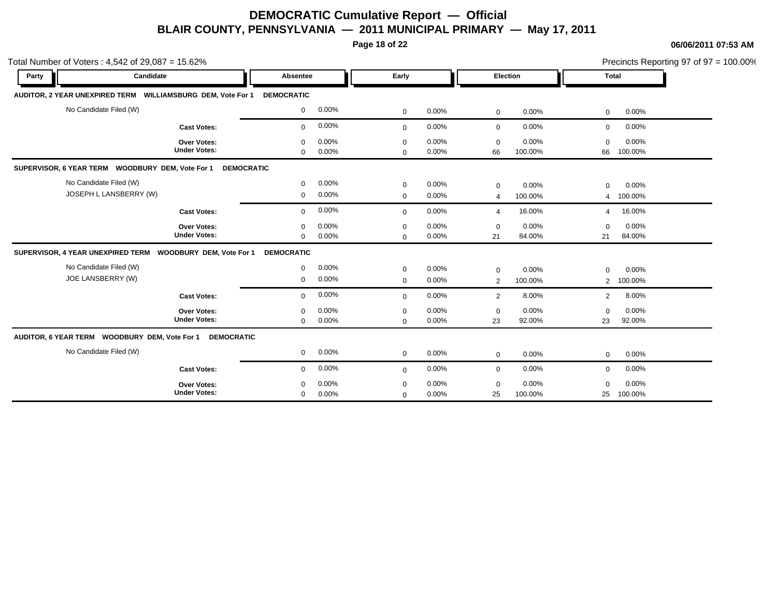**Page 18 of 22**

|                                             | Total Number of Voters: $4,542$ of 29,087 = 15.62%                    |                                              |                            |                |                   |                  |                               | Precincts Reporting 97 of 97 = 100.00% |
|---------------------------------------------|-----------------------------------------------------------------------|----------------------------------------------|----------------------------|----------------|-------------------|------------------|-------------------------------|----------------------------------------|
| Party                                       | Candidate                                                             | Absentee                                     | Early                      |                |                   | <b>Election</b>  |                               | <b>Total</b>                           |
|                                             | AUDITOR, 2 YEAR UNEXPIRED TERM WILLIAMSBURG DEM, Vote For 1           | <b>DEMOCRATIC</b>                            |                            |                |                   |                  |                               |                                        |
| No Candidate Filed (W)                      |                                                                       | 0.00%<br>$\mathbf 0$                         | $\mathbf 0$                | 0.00%          | $\mathbf 0$       | 0.00%            | $\mathbf 0$                   | 0.00%                                  |
|                                             | <b>Cast Votes:</b>                                                    | 0.00%<br>$\mathbf 0$                         | $\mathbf 0$                | 0.00%          | $\mathbf 0$       | 0.00%            | $\mathbf 0$                   | 0.00%                                  |
|                                             | Over Votes:<br><b>Under Votes:</b>                                    | 0.00%<br>$\mathbf 0$<br>0.00%<br>$\mathbf 0$ | $\mathbf 0$<br>$\Omega$    | 0.00%<br>0.00% | $\mathbf 0$<br>66 | 0.00%<br>100.00% | $\Omega$<br>66                | 0.00%<br>100.00%                       |
|                                             | SUPERVISOR, 6 YEAR TERM WOODBURY DEM, Vote For 1<br><b>DEMOCRATIC</b> |                                              |                            |                |                   |                  |                               |                                        |
| No Candidate Filed (W)                      | JOSEPH L LANSBERRY (W)                                                | 0.00%<br>$\mathbf 0$<br>0.00%<br>$\mathbf 0$ | $\mathbf 0$<br>$\mathbf 0$ | 0.00%<br>0.00% | $\mathbf 0$<br>4  | 0.00%<br>100.00% | $\mathbf 0$<br>4              | $0.00\%$<br>100.00%                    |
|                                             | <b>Cast Votes:</b>                                                    | 0.00%<br>$\Omega$                            | $\mathbf 0$                | 0.00%          | $\overline{4}$    | 16.00%           | $\overline{4}$                | 16.00%                                 |
|                                             | <b>Over Votes:</b><br><b>Under Votes:</b>                             | 0.00%<br>$\mathbf 0$<br>0.00%<br>$\Omega$    | $\mathbf 0$<br>$\mathbf 0$ | 0.00%<br>0.00% | $\mathbf 0$<br>21 | 0.00%<br>84.00%  | $\Omega$<br>21                | 0.00%<br>84.00%                        |
|                                             | SUPERVISOR, 4 YEAR UNEXPIRED TERM  WOODBURY DEM, Vote For 1           | <b>DEMOCRATIC</b>                            |                            |                |                   |                  |                               |                                        |
| No Candidate Filed (W)<br>JOE LANSBERRY (W) |                                                                       | 0.00%<br>0<br>0.00%<br>$\mathbf 0$           | $\mathbf 0$<br>$\mathbf 0$ | 0.00%<br>0.00% | $\mathbf 0$<br>2  | 0.00%<br>100.00% | $\mathbf 0$<br>$\overline{2}$ | 0.00%<br>100.00%                       |
|                                             | <b>Cast Votes:</b>                                                    | 0.00%<br>$\mathbf 0$                         | $\mathbf 0$                | 0.00%          | $\overline{2}$    | 8.00%            | $\overline{2}$                | 8.00%                                  |
|                                             | <b>Over Votes:</b><br><b>Under Votes:</b>                             | 0.00%<br>$\mathbf 0$<br>0.00%<br>$\mathbf 0$ | $\mathbf 0$<br>$\mathbf 0$ | 0.00%<br>0.00% | $\mathbf 0$<br>23 | 0.00%<br>92.00%  | $\Omega$<br>23                | 0.00%<br>92.00%                        |
|                                             | AUDITOR, 6 YEAR TERM WOODBURY DEM, Vote For 1<br><b>DEMOCRATIC</b>    |                                              |                            |                |                   |                  |                               |                                        |
| No Candidate Filed (W)                      |                                                                       | 0.00%<br>$\mathbf{0}$                        | $\mathbf 0$                | 0.00%          | $\mathbf 0$       | 0.00%            | $\mathbf 0$                   | 0.00%                                  |
|                                             | <b>Cast Votes:</b>                                                    | 0.00%<br>$\mathbf 0$                         | $\mathbf 0$                | 0.00%          | $\mathbf 0$       | 0.00%            | $\mathbf 0$                   | 0.00%                                  |
|                                             | <b>Over Votes:</b><br><b>Under Votes:</b>                             | 0.00%<br>$\Omega$<br>0.00%<br>$\mathbf 0$    | 0<br>$\mathbf 0$           | 0.00%<br>0.00% | $\Omega$<br>25    | 0.00%<br>100.00% | $\Omega$<br>25                | 0.00%<br>100.00%                       |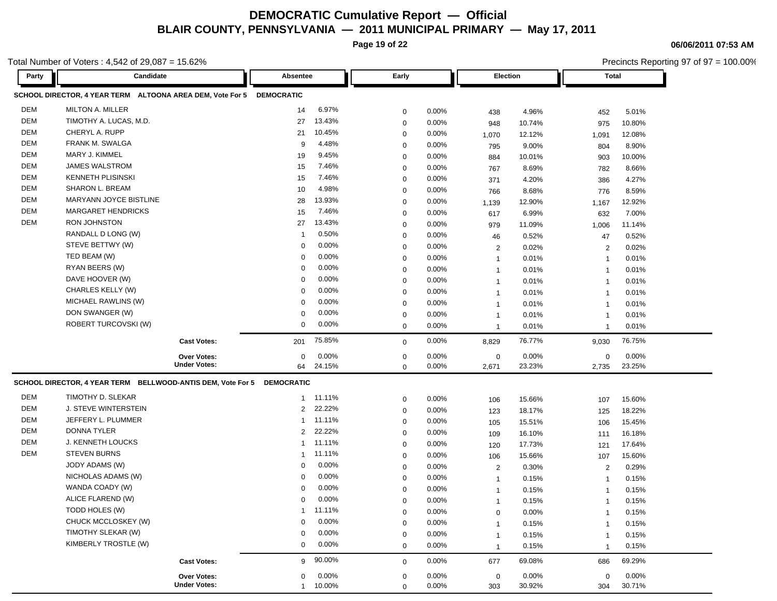**Page 19 of 22**

**06/06/2011 07:53 AM**

| otal Number of Voters: $4,542$ of $29,087 = 15.62\%$ |                                                                        |                     |                   |          |             |          |                |        | Precincts Reporting 97 of 97 = 100.00% |          |  |  |
|------------------------------------------------------|------------------------------------------------------------------------|---------------------|-------------------|----------|-------------|----------|----------------|--------|----------------------------------------|----------|--|--|
| Party                                                | Candidate                                                              |                     | Absentee          |          | Early       |          | Election       |        | <b>Total</b>                           |          |  |  |
|                                                      | SCHOOL DIRECTOR, 4 YEAR TERM ALTOONA AREA DEM, Vote For 5              |                     | <b>DEMOCRATIC</b> |          |             |          |                |        |                                        |          |  |  |
| <b>DEM</b>                                           | <b>MILTON A. MILLER</b>                                                |                     | 14                | 6.97%    | 0           | 0.00%    | 438            | 4.96%  | 452                                    | 5.01%    |  |  |
| DEM                                                  | TIMOTHY A. LUCAS, M.D.                                                 |                     | 27                | 13.43%   | 0           | $0.00\%$ | 948            | 10.74% | 975                                    | 10.80%   |  |  |
| DEM                                                  | CHERYL A. RUPP                                                         |                     | 21                | 10.45%   | 0           | 0.00%    | 1,070          | 12.12% | 1,091                                  | 12.08%   |  |  |
| DEM                                                  | FRANK M. SWALGA                                                        |                     | 9                 | 4.48%    | 0           | 0.00%    | 795            | 9.00%  | 804                                    | 8.90%    |  |  |
| DEM                                                  | MARY J. KIMMEL                                                         |                     | 19                | 9.45%    | 0           | $0.00\%$ | 884            | 10.01% | 903                                    | 10.00%   |  |  |
| DEM                                                  | <b>JAMES WALSTROM</b>                                                  |                     | 15                | 7.46%    | 0           | 0.00%    | 767            | 8.69%  | 782                                    | 8.66%    |  |  |
| DEM                                                  | <b>KENNETH PLISINSKI</b>                                               |                     | 15                | 7.46%    | 0           | $0.00\%$ | 371            | 4.20%  | 386                                    | 4.27%    |  |  |
| DEM                                                  | SHARON L. BREAM                                                        |                     | 10                | 4.98%    | 0           | $0.00\%$ | 766            | 8.68%  | 776                                    | 8.59%    |  |  |
| DEM                                                  | MARYANN JOYCE BISTLINE                                                 |                     | 28                | 13.93%   | 0           | 0.00%    | 1,139          | 12.90% | 1,167                                  | 12.92%   |  |  |
| DEM                                                  | <b>MARGARET HENDRICKS</b>                                              |                     | 15                | 7.46%    | 0           | 0.00%    | 617            | 6.99%  | 632                                    | 7.00%    |  |  |
| <b>DEM</b>                                           | <b>RON JOHNSTON</b>                                                    |                     | 27                | 13.43%   | 0           | 0.00%    | 979            | 11.09% | 1,006                                  | 11.14%   |  |  |
|                                                      | RANDALL D LONG (W)                                                     |                     | -1                | 0.50%    | 0           | 0.00%    | 46             | 0.52%  | 47                                     | 0.52%    |  |  |
|                                                      | STEVE BETTWY (W)                                                       |                     | $\Omega$          | 0.00%    | 0           | $0.00\%$ | $\overline{2}$ | 0.02%  | 2                                      | 0.02%    |  |  |
|                                                      | TED BEAM (W)                                                           |                     | $\Omega$          | 0.00%    | 0           | $0.00\%$ | $\mathbf{1}$   | 0.01%  | $\overline{1}$                         | 0.01%    |  |  |
|                                                      | RYAN BEERS (W)                                                         |                     | $\Omega$          | 0.00%    | 0           | 0.00%    | $\mathbf{1}$   | 0.01%  | $\overline{1}$                         | 0.01%    |  |  |
|                                                      | DAVE HOOVER (W)                                                        |                     | 0                 | 0.00%    | 0           | 0.00%    | $\mathbf{1}$   | 0.01%  | $\overline{1}$                         | 0.01%    |  |  |
|                                                      | CHARLES KELLY (W)                                                      |                     | $\Omega$          | 0.00%    | 0           | $0.00\%$ | $\mathbf 1$    | 0.01%  | -1                                     | 0.01%    |  |  |
|                                                      | MICHAEL RAWLINS (W)                                                    |                     | 0                 | 0.00%    | 0           | $0.00\%$ | $\mathbf{1}$   | 0.01%  | -1                                     | 0.01%    |  |  |
|                                                      | DON SWANGER (W)                                                        |                     | $\Omega$          | 0.00%    | 0           | $0.00\%$ | $\mathbf 1$    | 0.01%  | -1                                     | 0.01%    |  |  |
|                                                      | ROBERT TURCOVSKI (W)                                                   |                     | $\mathbf 0$       | 0.00%    | 0           | $0.00\%$ | $\mathbf{1}$   | 0.01%  | $\mathbf{1}$                           | 0.01%    |  |  |
|                                                      |                                                                        | <b>Cast Votes:</b>  | 201               | 75.85%   | 0           | $0.00\%$ | 8,829          | 76.77% | 9,030                                  | 76.75%   |  |  |
|                                                      |                                                                        | <b>Over Votes:</b>  | $\mathbf 0$       | 0.00%    | 0           | 0.00%    | $\mathbf 0$    | 0.00%  | 0                                      | 0.00%    |  |  |
|                                                      |                                                                        | <b>Under Votes:</b> | 64                | 24.15%   | $\mathbf 0$ | $0.00\%$ | 2,671          | 23.23% | 2,735                                  | 23.25%   |  |  |
|                                                      | SCHOOL DIRECTOR, 4 YEAR TERM BELLWOOD-ANTIS DEM, Vote For 5 DEMOCRATIC |                     |                   |          |             |          |                |        |                                        |          |  |  |
| DEM                                                  | TIMOTHY D. SLEKAR                                                      |                     | $\mathbf{1}$      | 11.11%   | 0           | 0.00%    | 106            | 15.66% | 107                                    | 15.60%   |  |  |
| <b>DEM</b>                                           | J. STEVE WINTERSTEIN                                                   |                     | 2                 | 22.22%   | 0           | $0.00\%$ | 123            | 18.17% | 125                                    | 18.22%   |  |  |
| DEM                                                  | JEFFERY L. PLUMMER                                                     |                     |                   | 11.11%   | 0           | $0.00\%$ | 105            | 15.51% | 106                                    | 15.45%   |  |  |
| DEM                                                  | <b>DONNA TYLER</b>                                                     |                     | 2                 | 22.22%   | 0           | $0.00\%$ | 109            | 16.10% | 111                                    | 16.18%   |  |  |
| DEM                                                  | J. KENNETH LOUCKS                                                      |                     | -1                | 11.11%   | 0           | $0.00\%$ | 120            | 17.73% | 121                                    | 17.64%   |  |  |
| DEM                                                  | <b>STEVEN BURNS</b>                                                    |                     | -1                | 11.11%   | 0           | $0.00\%$ | 106            | 15.66% | 107                                    | 15.60%   |  |  |
|                                                      | JODY ADAMS (W)                                                         |                     | $\Omega$          | 0.00%    | 0           | 0.00%    | $\overline{2}$ | 0.30%  | 2                                      | 0.29%    |  |  |
|                                                      | NICHOLAS ADAMS (W)                                                     |                     |                   | 0.00%    | 0           | 0.00%    | $\overline{1}$ | 0.15%  | -1                                     | 0.15%    |  |  |
|                                                      | WANDA COADY (W)                                                        |                     | $\Omega$          | 0.00%    | $\mathbf 0$ | $0.00\%$ | $\mathbf{1}$   | 0.15%  | $\mathbf{1}$                           | 0.15%    |  |  |
|                                                      | ALICE FLAREND (W)                                                      |                     | 0                 | $0.00\%$ | 0           | 0.00%    | $\mathbf{1}$   | 0.15%  | $\overline{1}$                         | 0.15%    |  |  |
|                                                      | TODD HOLES (W)                                                         |                     |                   | 11.11%   | 0           | 0.00%    | $\mathbf 0$    | 0.00%  | $\overline{1}$                         | 0.15%    |  |  |
|                                                      | CHUCK MCCLOSKEY (W)                                                    |                     | $\Omega$          | 0.00%    | 0           | 0.00%    | $\mathbf{1}$   | 0.15%  | $\mathbf{1}$                           | 0.15%    |  |  |
|                                                      | TIMOTHY SLEKAR (W)                                                     |                     | $\Omega$          | 0.00%    | 0           | 0.00%    | $\overline{1}$ | 0.15%  | $\mathbf{1}$                           | 0.15%    |  |  |
|                                                      | KIMBERLY TROSTLE (W)                                                   |                     | $\mathbf 0$       | 0.00%    | 0           | 0.00%    | $\mathbf{1}$   | 0.15%  | $\mathbf{1}$                           | 0.15%    |  |  |
|                                                      |                                                                        | <b>Cast Votes:</b>  | 9                 | 90.00%   | 0           | $0.00\%$ | 677            | 69.08% | 686                                    | 69.29%   |  |  |
|                                                      |                                                                        | Over Votes:         | 0                 | 0.00%    | 0           | $0.00\%$ | 0              | 0.00%  | 0                                      | $0.00\%$ |  |  |
|                                                      |                                                                        | <b>Under Votes:</b> | $\mathbf{1}$      | 10.00%   | $\mathbf 0$ | 0.00%    | 303            | 30.92% | 304                                    | 30.71%   |  |  |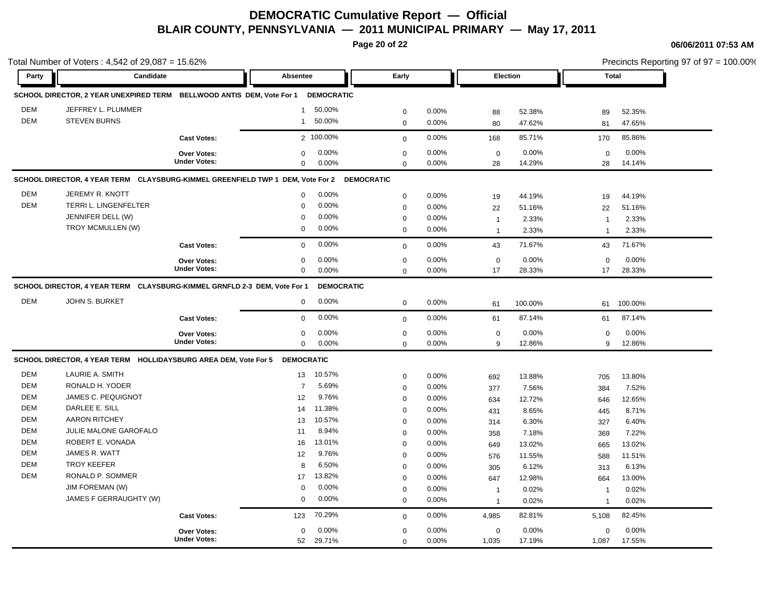**Page 20 of 22**

|            | Total Number of Voters: 4,542 of 29,087 = 15.62%                                          |                     |                   |                   |             |       |                |         |                          |         | Precincts Reporting 97 of 97 = 100.00% |
|------------|-------------------------------------------------------------------------------------------|---------------------|-------------------|-------------------|-------------|-------|----------------|---------|--------------------------|---------|----------------------------------------|
| Party      | Candidate                                                                                 |                     | Absentee          |                   | Early       |       | Election       |         | <b>Total</b>             |         |                                        |
|            | SCHOOL DIRECTOR, 2 YEAR UNEXPIRED TERM BELLWOOD ANTIS DEM, Vote For 1                     |                     |                   | <b>DEMOCRATIC</b> |             |       |                |         |                          |         |                                        |
| <b>DEM</b> | JEFFREY L. PLUMMER                                                                        |                     | $\mathbf{1}$      | 50.00%            | $\mathbf 0$ | 0.00% | 88             | 52.38%  | 89                       | 52.35%  |                                        |
| <b>DEM</b> | <b>STEVEN BURNS</b>                                                                       |                     | $\mathbf{1}$      | 50.00%            | $\mathbf 0$ | 0.00% | 80             | 47.62%  | 81                       | 47.65%  |                                        |
|            |                                                                                           | <b>Cast Votes:</b>  |                   | 2 100.00%         | $\mathsf 0$ | 0.00% | 168            | 85.71%  | 170                      | 85.86%  |                                        |
|            |                                                                                           | Over Votes:         | $\mathbf 0$       | 0.00%             | $\mathbf 0$ | 0.00% | $\mathbf 0$    | 0.00%   | $\mathbf 0$              | 0.00%   |                                        |
|            |                                                                                           | <b>Under Votes:</b> | $\Omega$          | 0.00%             | $\mathbf 0$ | 0.00% | 28             | 14.29%  | 28                       | 14.14%  |                                        |
|            | SCHOOL DIRECTOR, 4 YEAR TERM CLAYSBURG-KIMMEL GREENFIELD TWP 1 DEM, Vote For 2 DEMOCRATIC |                     |                   |                   |             |       |                |         |                          |         |                                        |
| <b>DEM</b> | JEREMY R. KNOTT                                                                           |                     | $\mathbf 0$       | 0.00%             | $\mathbf 0$ | 0.00% | 19             | 44.19%  | 19                       | 44.19%  |                                        |
| <b>DEM</b> | TERRI L. LINGENFELTER                                                                     |                     | $\mathbf 0$       | 0.00%             | $\mathbf 0$ | 0.00% | 22             | 51.16%  | 22                       | 51.16%  |                                        |
|            | JENNIFER DELL (W)                                                                         |                     | $\mathbf 0$       | 0.00%             | $\mathbf 0$ | 0.00% | $\overline{1}$ | 2.33%   | $\overline{1}$           | 2.33%   |                                        |
|            | TROY MCMULLEN (W)                                                                         |                     | $\mathbf 0$       | 0.00%             | $\mathbf 0$ | 0.00% | $\overline{1}$ | 2.33%   | $\overline{1}$           | 2.33%   |                                        |
|            |                                                                                           | <b>Cast Votes:</b>  | $\mathbf 0$       | 0.00%             | $\mathbf 0$ | 0.00% | 43             | 71.67%  | 43                       | 71.67%  |                                        |
|            |                                                                                           | Over Votes:         | $\mathbf 0$       | 0.00%             | $\pmb{0}$   | 0.00% | $\mathbf 0$    | 0.00%   | $\Omega$                 | 0.00%   |                                        |
|            |                                                                                           | <b>Under Votes:</b> | $\mathbf 0$       | 0.00%             | $\Omega$    | 0.00% | 17             | 28.33%  | 17                       | 28.33%  |                                        |
|            | SCHOOL DIRECTOR, 4 YEAR TERM CLAYSBURG-KIMMEL GRNFLD 2-3 DEM, Vote For 1                  |                     |                   | <b>DEMOCRATIC</b> |             |       |                |         |                          |         |                                        |
| <b>DEM</b> | JOHN S. BURKET                                                                            |                     | 0                 | 0.00%             | $\mathbf 0$ | 0.00% | 61             | 100.00% | 61                       | 100.00% |                                        |
|            |                                                                                           | <b>Cast Votes:</b>  | $\mathbf 0$       | 0.00%             | $\mathbf 0$ | 0.00% | 61             | 87.14%  | 61                       | 87.14%  |                                        |
|            |                                                                                           | Over Votes:         | $\mathbf 0$       | 0.00%             | $\mathbf 0$ | 0.00% | $\mathbf 0$    | 0.00%   | $\mathbf 0$              | 0.00%   |                                        |
|            |                                                                                           | <b>Under Votes:</b> | $\mathbf 0$       | 0.00%             | $\mathbf 0$ | 0.00% | 9              | 12.86%  | 9                        | 12.86%  |                                        |
|            | SCHOOL DIRECTOR, 4 YEAR TERM HOLLIDAYSBURG AREA DEM, Vote For 5                           |                     | <b>DEMOCRATIC</b> |                   |             |       |                |         |                          |         |                                        |
| DEM        | LAURIE A. SMITH                                                                           |                     | 13                | 10.57%            | $\pmb{0}$   | 0.00% | 692            | 13.88%  | 705                      | 13.80%  |                                        |
| DEM        | RONALD H. YODER                                                                           |                     | $\overline{7}$    | 5.69%             | $\mathbf 0$ | 0.00% | 377            | 7.56%   | 384                      | 7.52%   |                                        |
| DEM        | JAMES C. PEQUIGNOT                                                                        |                     | 12                | 9.76%             | $\mathbf 0$ | 0.00% | 634            | 12.72%  | 646                      | 12.65%  |                                        |
| DEM        | DARLEE E. SILL                                                                            |                     | 14                | 11.38%            | $\mathbf 0$ | 0.00% | 431            | 8.65%   | 445                      | 8.71%   |                                        |
| <b>DEM</b> | <b>AARON RITCHEY</b>                                                                      |                     | 13                | 10.57%            | $\mathbf 0$ | 0.00% | 314            | 6.30%   | 327                      | 6.40%   |                                        |
| DEM        | JULIE MALONE GAROFALO                                                                     |                     | 11                | 8.94%             | $\mathbf 0$ | 0.00% | 358            | 7.18%   | 369                      | 7.22%   |                                        |
| <b>DEM</b> | ROBERT E. VONADA                                                                          |                     | 16                | 13.01%            | $\mathbf 0$ | 0.00% | 649            | 13.02%  | 665                      | 13.02%  |                                        |
| DEM        | JAMES R. WATT                                                                             |                     | 12                | 9.76%             | $\mathbf 0$ | 0.00% | 576            | 11.55%  | 588                      | 11.51%  |                                        |
| <b>DEM</b> | <b>TROY KEEFER</b>                                                                        |                     | 8                 | 6.50%             | $\mathbf 0$ | 0.00% | 305            | 6.12%   | 313                      | 6.13%   |                                        |
| DEM        | RONALD P. SOMMER                                                                          |                     | 17                | 13.82%            | $\mathbf 0$ | 0.00% | 647            | 12.98%  | 664                      | 13.00%  |                                        |
|            | JIM FOREMAN (W)                                                                           |                     | $\mathbf 0$       | 0.00%             | $\mathbf 0$ | 0.00% | $\overline{1}$ | 0.02%   | $\overline{\phantom{a}}$ | 0.02%   |                                        |
|            | JAMES F GERRAUGHTY (W)                                                                    |                     | $\mathbf 0$       | 0.00%             | $\mathbf 0$ | 0.00% | $\overline{1}$ | 0.02%   | $\mathbf{1}$             | 0.02%   |                                        |
|            |                                                                                           | <b>Cast Votes:</b>  | 123               | 70.29%            | $\mathbf 0$ | 0.00% | 4,985          | 82.81%  | 5,108                    | 82.45%  |                                        |
|            |                                                                                           | <b>Over Votes:</b>  | $\mathbf 0$       | 0.00%             | $\mathbf 0$ | 0.00% | $\mathbf 0$    | 0.00%   | 0                        | 0.00%   |                                        |
|            |                                                                                           | <b>Under Votes:</b> | 52                | 29.71%            | $\mathbf 0$ | 0.00% | 1,035          | 17.19%  | 1,087                    | 17.55%  |                                        |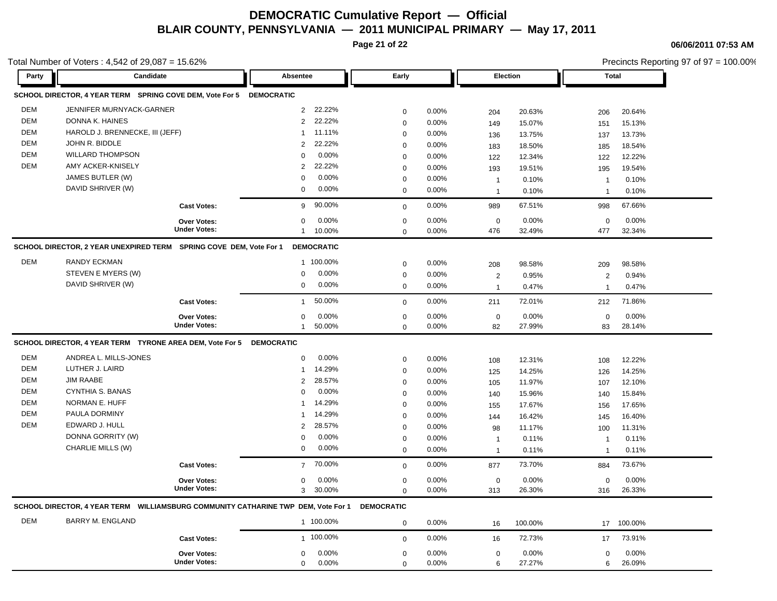**Page 21 of 22**

Total Number of Voters : 4,542 of 29,087 = 15.62%

**06/06/2011 07:53 AM**

Precincts Reporting 97 of 97 = 100.00%

| Party      | Candidate                                                                         |                     | Absentee       |                   | Early             |          |                | Election | <b>Total</b>   |         |
|------------|-----------------------------------------------------------------------------------|---------------------|----------------|-------------------|-------------------|----------|----------------|----------|----------------|---------|
|            | SCHOOL DIRECTOR, 4 YEAR TERM SPRING COVE DEM, Vote For 5 DEMOCRATIC               |                     |                |                   |                   |          |                |          |                |         |
| <b>DEM</b> | JENNIFER MURNYACK-GARNER                                                          |                     | $\overline{2}$ | 22.22%            | $\mathbf 0$       | 0.00%    | 204            | 20.63%   | 206            | 20.64%  |
| <b>DEM</b> | DONNA K. HAINES                                                                   |                     | $\overline{2}$ | 22.22%            | $\mathbf 0$       | 0.00%    | 149            | 15.07%   | 151            | 15.13%  |
| DEM        | HAROLD J. BRENNECKE, III (JEFF)                                                   |                     | $\mathbf{1}$   | 11.11%            | $\mathbf 0$       | 0.00%    | 136            | 13.75%   | 137            | 13.73%  |
| <b>DEM</b> | JOHN R. BIDDLE                                                                    |                     | $\overline{2}$ | 22.22%            | $\mathbf 0$       | 0.00%    | 183            | 18.50%   | 185            | 18.54%  |
| <b>DEM</b> | <b>WILLARD THOMPSON</b>                                                           |                     | $\mathbf 0$    | 0.00%             | $\mathbf 0$       | 0.00%    | 122            | 12.34%   | 122            | 12.22%  |
| DEM        | AMY ACKER-KNISELY                                                                 |                     | $\overline{2}$ | 22.22%            | 0                 | 0.00%    | 193            | 19.51%   | 195            | 19.54%  |
|            | JAMES BUTLER (W)                                                                  |                     | $\Omega$       | 0.00%             | 0                 | $0.00\%$ | $\overline{1}$ | 0.10%    | $\mathbf{1}$   | 0.10%   |
|            | DAVID SHRIVER (W)                                                                 |                     | $\mathbf 0$    | 0.00%             | $\mathbf 0$       | 0.00%    | $\overline{1}$ | 0.10%    | $\overline{1}$ | 0.10%   |
|            |                                                                                   | <b>Cast Votes:</b>  | 9              | 90.00%            | $\mathbf 0$       | 0.00%    | 989            | 67.51%   | 998            | 67.66%  |
|            |                                                                                   | <b>Over Votes:</b>  | $\mathbf 0$    | 0.00%             | 0                 | 0.00%    | $\mathbf 0$    | 0.00%    | $\mathbf 0$    | 0.00%   |
|            |                                                                                   | <b>Under Votes:</b> | $\mathbf{1}$   | 10.00%            | $\mathbf 0$       | 0.00%    | 476            | 32.49%   | 477            | 32.34%  |
|            | SCHOOL DIRECTOR, 2 YEAR UNEXPIRED TERM SPRING COVE DEM, Vote For 1                |                     |                | <b>DEMOCRATIC</b> |                   |          |                |          |                |         |
| DEM        | <b>RANDY ECKMAN</b>                                                               |                     |                | 1 100.00%         | $\mathbf 0$       | 0.00%    | 208            | 98.58%   | 209            | 98.58%  |
|            | STEVEN E MYERS (W)                                                                |                     | $\mathbf 0$    | 0.00%             | 0                 | 0.00%    | $\overline{2}$ | 0.95%    | 2              | 0.94%   |
|            | DAVID SHRIVER (W)                                                                 |                     | $\mathbf 0$    | 0.00%             | $\mathbf 0$       | 0.00%    | $\overline{1}$ | 0.47%    | $\overline{1}$ | 0.47%   |
|            |                                                                                   | <b>Cast Votes:</b>  | $\mathbf{1}$   | 50.00%            | $\Omega$          | 0.00%    | 211            | 72.01%   | 212            | 71.86%  |
|            |                                                                                   | <b>Over Votes:</b>  | $\mathbf 0$    | 0.00%             | 0                 | 0.00%    | $\mathsf 0$    | 0.00%    | $\Omega$       | 0.00%   |
|            |                                                                                   | <b>Under Votes:</b> | $\mathbf{1}$   | 50.00%            | $\mathbf 0$       | $0.00\%$ | 82             | 27.99%   | 83             | 28.14%  |
|            | SCHOOL DIRECTOR, 4 YEAR TERM TYRONE AREA DEM, Vote For 5 DEMOCRATIC               |                     |                |                   |                   |          |                |          |                |         |
| <b>DEM</b> | ANDREA L. MILLS-JONES                                                             |                     | $\Omega$       | 0.00%             | $\mathbf 0$       | 0.00%    | 108            | 12.31%   | 108            | 12.22%  |
| <b>DEM</b> | LUTHER J. LAIRD                                                                   |                     | $\mathbf{1}$   | 14.29%            | 0                 | 0.00%    | 125            | 14.25%   | 126            | 14.25%  |
| <b>DEM</b> | <b>JIM RAABE</b>                                                                  |                     | $\overline{2}$ | 28.57%            | 0                 | 0.00%    | 105            | 11.97%   | 107            | 12.10%  |
| <b>DEM</b> | CYNTHIA S. BANAS                                                                  |                     | $\mathbf 0$    | 0.00%             | $\mathbf 0$       | 0.00%    | 140            | 15.96%   | 140            | 15.84%  |
| DEM        | NORMAN E. HUFF                                                                    |                     | $\mathbf{1}$   | 14.29%            | 0                 | 0.00%    | 155            | 17.67%   | 156            | 17.65%  |
| <b>DEM</b> | PAULA DORMINY                                                                     |                     | 1              | 14.29%            | $\mathbf 0$       | 0.00%    | 144            | 16.42%   | 145            | 16.40%  |
| <b>DEM</b> | EDWARD J. HULL                                                                    |                     | $\overline{2}$ | 28.57%            | 0                 | 0.00%    | 98             | 11.17%   | 100            | 11.31%  |
|            | DONNA GORRITY (W)                                                                 |                     | $\mathbf 0$    | 0.00%             | 0                 | 0.00%    | $\overline{1}$ | 0.11%    | $\mathbf{1}$   | 0.11%   |
|            | CHARLIE MILLS (W)                                                                 |                     | $\mathbf 0$    | 0.00%             | $\Omega$          | 0.00%    | $\overline{1}$ | 0.11%    | $\overline{1}$ | 0.11%   |
|            |                                                                                   | <b>Cast Votes:</b>  | $\overline{7}$ | 70.00%            | $\mathbf 0$       | $0.00\%$ | 877            | 73.70%   | 884            | 73.67%  |
|            |                                                                                   | Over Votes:         | $\mathbf 0$    | 0.00%             | $\mathbf 0$       | $0.00\%$ | $\mathbf 0$    | 0.00%    | $\mathbf 0$    | 0.00%   |
|            |                                                                                   | <b>Under Votes:</b> | 3              | 30.00%            | $\Omega$          | 0.00%    | 313            | 26.30%   | 316            | 26.33%  |
|            | SCHOOL DIRECTOR, 4 YEAR TERM WILLIAMSBURG COMMUNITY CATHARINE TWP DEM, Vote For 1 |                     |                |                   | <b>DEMOCRATIC</b> |          |                |          |                |         |
| <b>DEM</b> | <b>BARRY M. ENGLAND</b>                                                           |                     |                | 1 100.00%         | $\mathbf 0$       | 0.00%    | 16             | 100.00%  | 17             | 100.00% |
|            |                                                                                   | <b>Cast Votes:</b>  |                | 1 100.00%         | $\mathbf 0$       | 0.00%    | 16             | 72.73%   | 17             | 73.91%  |
|            |                                                                                   | <b>Over Votes:</b>  | 0              | 0.00%             | $\mathbf 0$       | 0.00%    | $\mathbf 0$    | 0.00%    | $\mathbf 0$    | 0.00%   |
|            |                                                                                   | <b>Under Votes:</b> | $\mathbf 0$    | 0.00%             | $\Omega$          | 0.00%    | 6              | 27.27%   | 6              | 26.09%  |